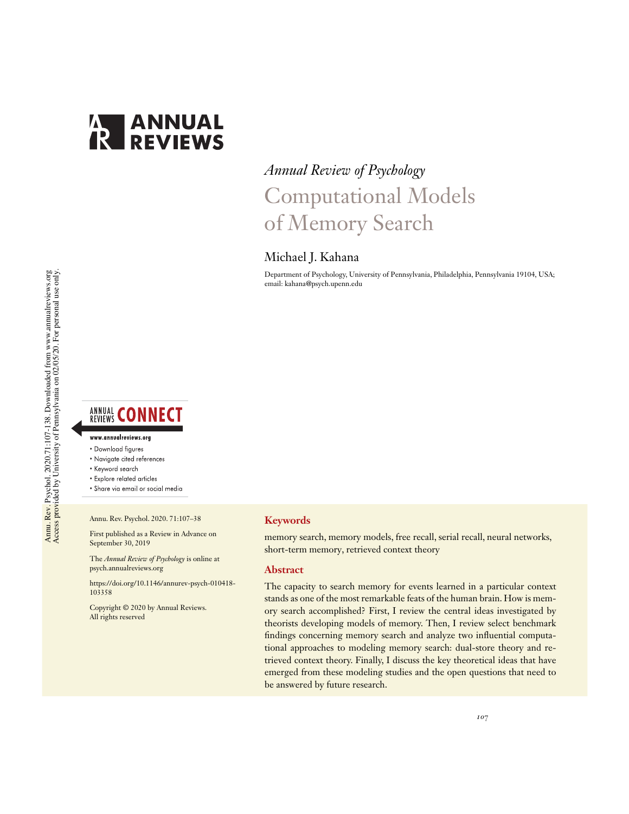

# *Annual Review of Psychology* Computational Models of Me[mory](mailto:kahana@psych.upenn.edu) [Sear](mailto:kahana@psych.upenn.edu)ch

# Michael J. Kahana

Department of Psychology, University of Pennsylvania, Philadelphia, Pennsylvania 19104, USA; email: kahana@psych.upenn.edu



- 
- Download figures
- Navigate cited references
- Keyword search
- . Explore related articles
- · Share via email or social media

Annu. Rev. P[sychol. 2020. 71:107–38](https://doi.org/10.1146/annurev-psych-010418-103358)

First published as a Review in Advance on September 30, 2019

The *Annual Review of Psychology* is online at psych.annualreviews.org

https://doi.org/10.1146/annurev-psych-010418- 103358

Copyright © 2020 by Annual Reviews. All rights reserved

# **Keywords**

memory search, memory models, free recall, serial recall, neural networks, short-term memory, retrieved context theory

# **Abstract**

The capacity to search memory for events learned in a particular context stands as one of the most remarkable feats of the human brain. How is memory search accomplished? First, I review the central ideas investigated by theorists developing models of memory. Then, I review select benchmark findings concerning memory search and analyze two influential computational approaches to modeling memory search: dual-store theory and retrieved context theory. Finally, I discuss the key theoretical ideas that have emerged from these modeling studies and the open questions that need to be answered by future research.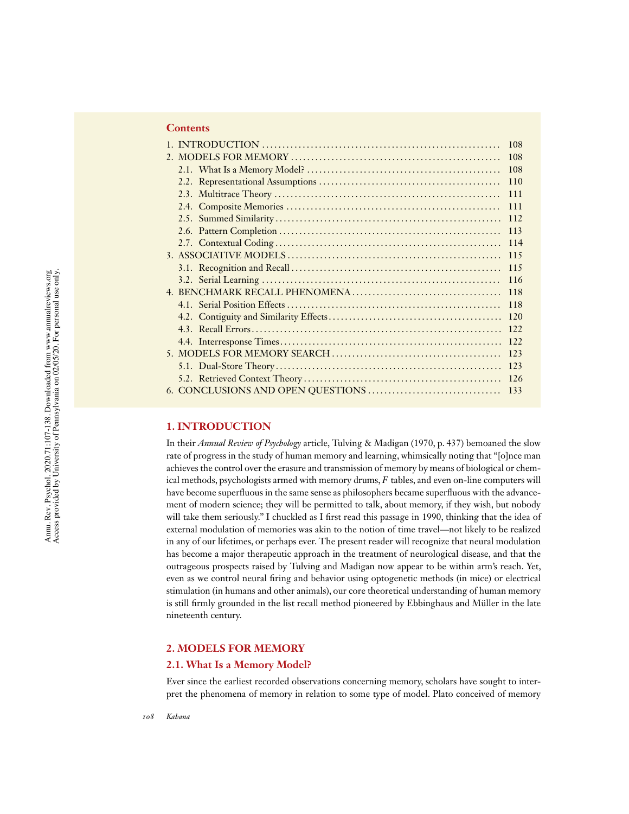|  | <b>Contents</b> |
|--|-----------------|
|  |                 |

|  | 108 |
|--|-----|
|  | 108 |
|  | 108 |
|  | 110 |
|  | 111 |
|  | 111 |
|  | 112 |
|  | 113 |
|  | 114 |
|  | 115 |
|  | 115 |
|  | 116 |
|  | 118 |
|  | 118 |
|  | 120 |
|  | 122 |
|  | 122 |
|  | 123 |
|  | 123 |
|  | 126 |
|  | 133 |

# **1. INTRODUCTION**

In their *Annual Review of Psychology* article, Tulving & Madigan (1970, p. 437) bemoaned the slow rate of progress in the study of human memory and learning, whimsically noting that "[o]nce man achieves the control over the erasure and transmission of memory by means of biological or chemical methods, psychologists armed with memory drums, *F* tables, and even on-line computers will have become superfluous in the same sense as philosophers became superfluous with the advancement of modern science; they will be permitted to talk, about memory, if they wish, but nobody will take them seriously." I chuckled as I first read this passage in 1990, thinking that the idea of external modulation of memories was akin to the notion of time travel—not likely to be realized in any of our lifetimes, or perhaps ever. The present reader will recognize that neural modulation has become a major therapeutic approach in the treatment of neurological disease, and that the outrageous prospects raised by Tulving and Madigan now appear to be within arm's reach. Yet, even as we control neural firing and behavior using optogenetic methods (in mice) or electrical stimulation (in humans and other animals), our core theoretical understanding of human memory is still firmly grounded in the list recall method pioneered by Ebbinghaus and Müller in the late nineteenth century.

### **2. MODELS FOR MEMORY**

### **2.1. What Is a Memory Model?**

Ever since the earliest recorded observations concerning memory, scholars have sought to interpret the phenomena of memory in relation to some type of model. Plato conceived of memory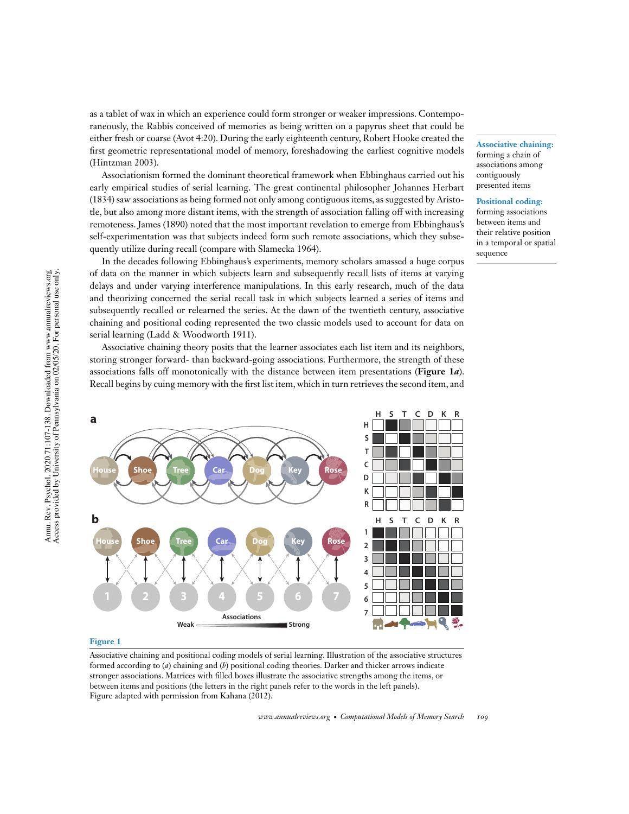as a tablet of wax in which an experience could form stronger or weaker impressions. Contemporaneously, the Rabbis conceived of memories as being written on a papyrus sheet that could be either fresh or coarse (Avot 4:20). During the early eighteenth century, Robert Hooke created the first geometric representational model of memory, foreshadowing the earliest cognitive models (Hintzman 2003).

Associationism formed the dominant theoretical framework when Ebbinghaus carried out his early empirical studies of serial learning. The great continental philosopher Johannes Herbart (1834) saw associations as being formed not only among contiguous items, as suggested by Aristotle, but also among more distant items, with the strength of association falling off with increasing remoteness. James (1890) noted that the most important revelation to emerge from Ebbinghaus's self-experimentation was that subjects indeed form such remote associations, which they subsequently utilize during recall (compare with Slamecka 1964).

In the decades following Ebbinghaus's experiments, memory scholars amassed a huge corpus of data on the manner in which subjects learn and subsequently recall lists of items at varying delays and under varying interference manipulations. In this early research, much of the data and theorizing concerned the serial recall task in which subjects learned a series of items and subsequently recalled or relearned the series. At the dawn of the twentieth century, associative chaining and positional coding represented the two classic models used to account for data on serial learning (Ladd & Woodworth 1911).

Associative chaining theory posits that the learner associates each list item and its neighbors, storing stronger forward- than backward-going associations. Furthermore, the strength of these associations falls off monotonically with the distance between item presentations (**Figure 1***a*). Recall begins by cuing memory with the first list item, which in turn retrieves the second item, and

**Associative chaining:** forming a chain of associations among contiguously presented items

# **Positional coding:**

forming associations between items and their relative position in a temporal or spatial sequence

**a b**



### **Figure 1**

Associative chaining and positional coding models of serial learning. Illustration of the associative structures formed according to (*a*) chaining and (*b*) positional coding theories. Darker and thicker arrows indicate stronger associations. Matrices with filled boxes illustrate the associative strengths among the items, or between items and positions (the letters in the right panels refer to the words in the left panels). Figure adapted with permission from Kahana (2012).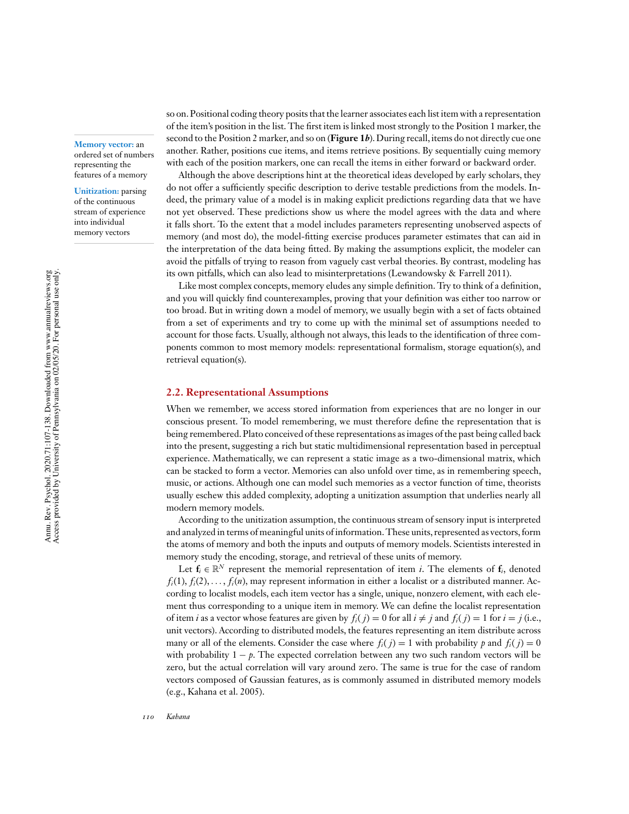**Memory vector:** an ordered set of numbers representing the features of a memory

**Unitization:** parsing of the continuous stream of experience into individual memory vectors

so on. Positional coding theory posits that the learner associates each list item with a representation of the item's position in the list. The first item is linked most strongly to the Position 1 marker, the second to the Position 2 marker, and so on (**Figure 1***b*). During recall, items do not directly cue one another. Rather, positions cue items, and items retrieve positions. By sequentially cuing memory with each of the position markers, one can recall the items in either forward or backward order.

Although the above descriptions hint at the theoretical ideas developed by early scholars, they do not offer a sufficiently specific description to derive testable predictions from the models. Indeed, the primary value of a model is in making explicit predictions regarding data that we have not yet observed. These predictions show us where the model agrees with the data and where it falls short. To the extent that a model includes parameters representing unobserved aspects of memory (and most do), the model-fitting exercise produces parameter estimates that can aid in the interpretation of the data being fitted. By making the assumptions explicit, the modeler can avoid the pitfalls of trying to reason from vaguely cast verbal theories. By contrast, modeling has its own pitfalls, which can also lead to misinterpretations (Lewandowsky & Farrell 2011).

Like most complex concepts, memory eludes any simple definition. Try to think of a definition, and you will quickly find counterexamples, proving that your definition was either too narrow or too broad. But in writing down a model of memory, we usually begin with a set of facts obtained from a set of experiments and try to come up with the minimal set of assumptions needed to account for those facts. Usually, although not always, this leads to the identification of three components common to most memory models: representational formalism, storage equation(s), and retrieval equation(s).

### **2.2. Representational Assumptions**

When we remember, we access stored information from experiences that are no longer in our conscious present. To model remembering, we must therefore define the representation that is being remembered. Plato conceived of these representations as images of the past being called back into the present, suggesting a rich but static multidimensional representation based in perceptual experience. Mathematically, we can represent a static image as a two-dimensional matrix, which can be stacked to form a vector. Memories can also unfold over time, as in remembering speech, music, or actions. Although one can model such memories as a vector function of time, theorists usually eschew this added complexity, adopting a unitization assumption that underlies nearly all modern memory models.

According to the unitization assumption, the continuous stream of sensory input is interpreted and analyzed in terms of meaningful units of information. These units, represented as vectors, form the atoms of memory and both the inputs and outputs of memory models. Scientists interested in memory study the encoding, storage, and retrieval of these units of memory.

Let  $f_i \in \mathbb{R}^N$  represent the memorial representation of item *i*. The elements of  $f_i$ , denoted  $f_i(1), f_i(2), \ldots, f_i(n)$ , may represent information in either a localist or a distributed manner. According to localist models, each item vector has a single, unique, nonzero element, with each element thus corresponding to a unique item in memory. We can define the localist representation of item *i* as a vector whose features are given by  $f_i(j) = 0$  for all  $i \neq j$  and  $f_i(j) = 1$  for  $i = j$  (i.e., unit vectors). According to distributed models, the features representing an item distribute across many or all of the elements. Consider the case where  $f_i(j) = 1$  with probability *p* and  $f_i(j) = 0$ with probability  $1 - p$ . The expected correlation between any two such random vectors will be zero, but the actual correlation will vary around zero. The same is true for the case of random vectors composed of Gaussian features, as is commonly assumed in distributed memory models (e.g., Kahana et al. 2005).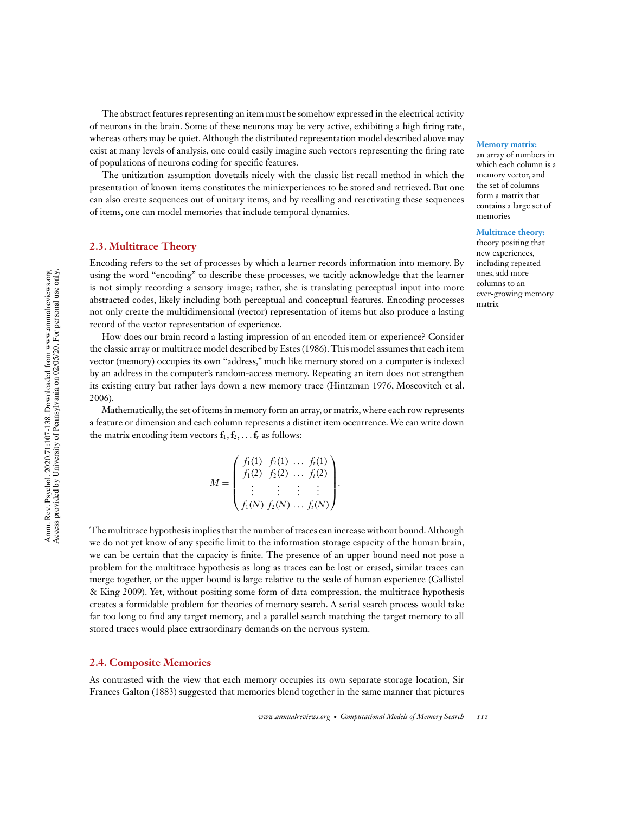The abstract features representing an item must be somehow expressed in the electrical activity of neurons in the brain. Some of these neurons may be very active, exhibiting a high firing rate, whereas others may be quiet. Although the distributed representation model described above may exist at many levels of analysis, one could easily imagine such vectors representing the firing rate of populations of neurons coding for specific features.

The unitization assumption dovetails nicely with the classic list recall method in which the presentation of known items constitutes the miniexperiences to be stored and retrieved. But one can also create sequences out of unitary items, and by recalling and reactivating these sequences of items, one can model memories that include temporal dynamics.

# **2.3. Multitrace Theory**

Encoding refers to the set of processes by which a learner records information into memory. By using the word "encoding" to describe these processes, we tacitly acknowledge that the learner is not simply recording a sensory image; rather, she is translating perceptual input into more abstracted codes, likely including both perceptual and conceptual features. Encoding processes not only create the multidimensional (vector) representation of items but also produce a lasting record of the vector representation of experience.

How does our brain record a lasting impression of an encoded item or experience? Consider the classic array or multitrace model described by Estes (1986). This model assumes that each item vector (memory) occupies its own "address," much like memory stored on a computer is indexed by an address in the computer's random-access memory. Repeating an item does not strengthen its existing entry but rather lays down a new memory trace (Hintzman 1976, Moscovitch et al. 2006).

Mathematically, the set of items in memory form an array, or matrix, where each row represents a feature or dimension and each column represents a distinct item occurrence.We can write down the matrix encoding item vectors  $f_1, f_2, \ldots, f_t$  as follows:

$$
M = \begin{pmatrix} f_1(1) & f_2(1) & \dots & f_t(1) \\ f_1(2) & f_2(2) & \dots & f_t(2) \\ \vdots & \vdots & \vdots & \vdots \\ f_1(N) & f_2(N) & \dots & f_t(N) \end{pmatrix}
$$

*.*

The multitrace hypothesis implies that the number of traces can increase without bound. Although we do not yet know of any specific limit to the information storage capacity of the human brain, we can be certain that the capacity is finite. The presence of an upper bound need not pose a problem for the multitrace hypothesis as long as traces can be lost or erased, similar traces can merge together, or the upper bound is large relative to the scale of human experience (Gallistel & King 2009). Yet, without positing some form of data compression, the multitrace hypothesis creates a formidable problem for theories of memory search. A serial search process would take far too long to find any target memory, and a parallel search matching the target memory to all stored traces would place extraordinary demands on the nervous system.

# **2.4. Composite Memories**

As contrasted with the view that each memory occupies its own separate storage location, Sir Frances Galton (1883) suggested that memories blend together in the same manner that pictures

# **Memory matrix:**

an array of numbers in which each column is a memory vector, and the set of columns form a matrix that contains a large set of memories

### **Multitrace theory:**

theory positing that new experiences, including repeated ones, add more columns to an ever-growing memory matrix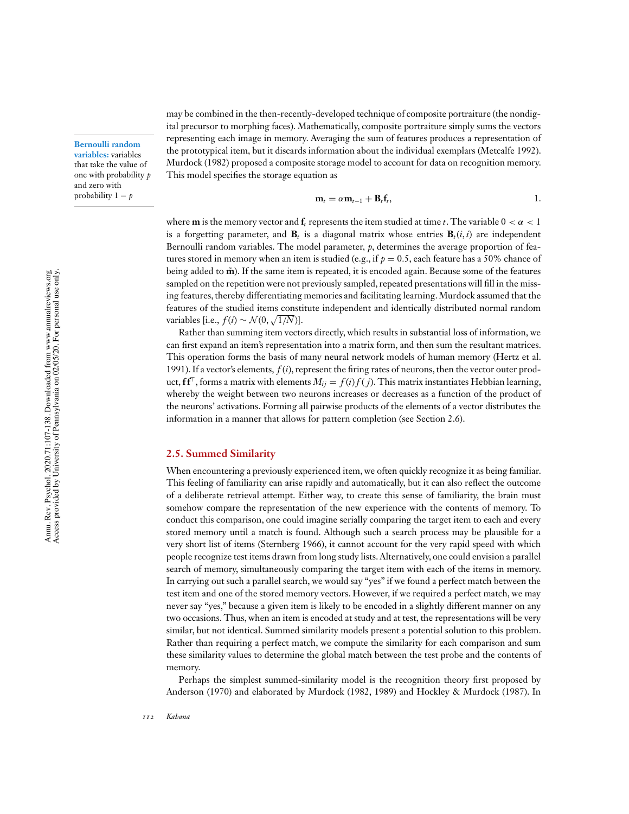**Bernoulli random variables:** variables that take the value of one with probability *p* and zero with probability  $1 - p$ 

may be combined in the then-recently-developed technique of composite portraiture (the nondigital precursor to morphing faces). Mathematically, composite portraiture simply sums the vectors representing each image in memory. Averaging the sum of features produces a representation of the prototypical item, but it discards information about the individual exemplars (Metcalfe 1992). Murdock (1982) proposed a composite storage model to account for data on recognition memory. This model specifies the storage equation as

$$
\mathbf{m}_t = \alpha \mathbf{m}_{t-1} + \mathbf{B}_t \mathbf{f}_t, \qquad 1.
$$

where **m** is the memory vector and **f**<sub>*f*</sub> represents the item studied at time *t*. The variable  $0 < \alpha < 1$ is a forgetting parameter, and  $\mathbf{B}_t$  is a diagonal matrix whose entries  $\mathbf{B}_t(i, i)$  are independent Bernoulli random variables. The model parameter, *p*, determines the average proportion of features stored in memory when an item is studied (e.g., if  $p = 0.5$ , each feature has a 50% chance of being added to  $\tilde{m}$ ). If the same item is repeated, it is encoded again. Because some of the features sampled on the repetition were not previously sampled, repeated presentations will fill in the missing features, thereby differentiating memories and facilitating learning.Murdock assumed that the features of the studied items constitute independent and identically distributed normal random variables [i.e.,  $f(i) \sim \mathcal{N}(0, \sqrt{1/N})$ ].

Rather than summing item vectors directly, which results in substantial loss of information, we can first expand an item's representation into a matrix form, and then sum the resultant matrices. This operation forms the basis of many neural network models of human memory (Hertz et al. 1991). If a vector's elements,  $f(i)$ , represent the firing rates of neurons, then the vector outer product,  $\mathbf{f} \mathbf{f}^{\top}$ , forms a matrix with elements  $M_{ij} = f(i) f(j)$ . This matrix instantiates Hebbian learning, whereby the weight between two neurons increases or decreases as a function of the product of the neurons' activations. Forming all pairwise products of the elements of a vector distributes the information in a manner that allows for pattern completion (see Section 2.6).

# **2.5. Summed Similarity**

When encountering a previously experienced item, we often quickly recognize it as being familiar. This feeling of familiarity can arise rapidly and automatically, but it can also reflect the outcome of a deliberate retrieval attempt. Either way, to create this sense of familiarity, the brain must somehow compare the representation of the new experience with the contents of memory. To conduct this comparison, one could imagine serially comparing the target item to each and every stored memory until a match is found. Although such a search process may be plausible for a very short list of items (Sternberg 1966), it cannot account for the very rapid speed with which people recognize test items drawn from long study lists. Alternatively, one could envision a parallel search of memory, simultaneously comparing the target item with each of the items in memory. In carrying out such a parallel search, we would say "yes" if we found a perfect match between the test item and one of the stored memory vectors. However, if we required a perfect match, we may never say "yes," because a given item is likely to be encoded in a slightly different manner on any two occasions. Thus, when an item is encoded at study and at test, the representations will be very similar, but not identical. Summed similarity models present a potential solution to this problem. Rather than requiring a perfect match, we compute the similarity for each comparison and sum these similarity values to determine the global match between the test probe and the contents of memory.

Perhaps the simplest summed-similarity model is the recognition theory first proposed by Anderson (1970) and elaborated by Murdock (1982, 1989) and Hockley & Murdock (1987). In

Annu. Rev. Psychol. 2020.71:107-138. Downloaded from www.annualreviews.org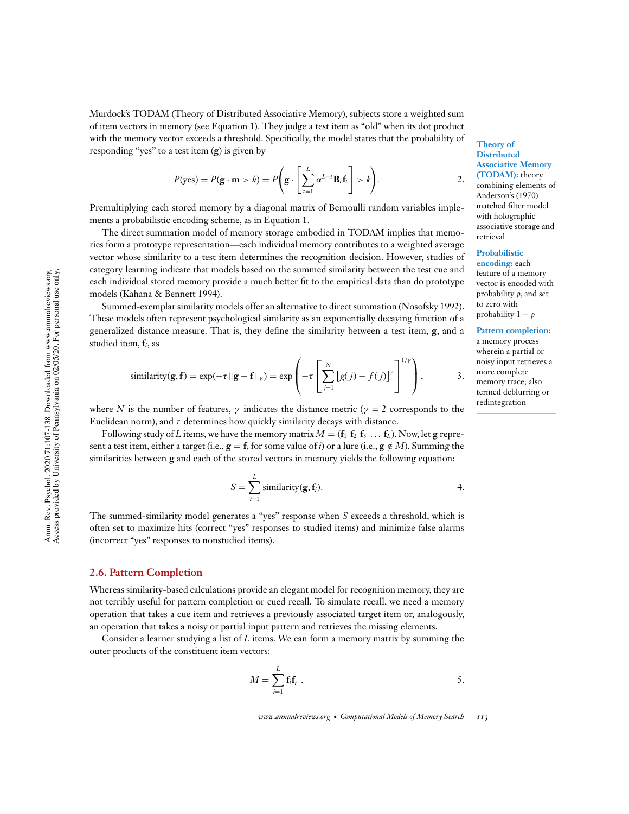Murdock's TODAM (Theory of Distributed Associative Memory), subjects store a weighted sum of item vectors in memory (see Equation 1). They judge a test item as "old" when its dot product with the memory vector exceeds a threshold. Specifically, the model states that the probability of responding "yes" to a test item (**g**) is given by

$$
P(\text{yes}) = P(\mathbf{g} \cdot \mathbf{m} > k) = P\left(\mathbf{g} \cdot \left[\sum_{t=1}^{L} \alpha^{L-t} \mathbf{B}_t \mathbf{f}_t\right] > k\right).
$$

Premultiplying each stored memory by a diagonal matrix of Bernoulli random variables implements a probabilistic encoding scheme, as in Equation 1.

The direct summation model of memory storage embodied in TODAM implies that memories form a prototype representation—each individual memory contributes to a weighted average vector whose similarity to a test item determines the recognition decision. However, studies of category learning indicate that models based on the summed similarity between the test cue and each individual stored memory provide a much better fit to the empirical data than do prototype models (Kahana & Bennett 1994).

Summed-exemplar similarity models offer an alternative to direct summation (Nosofsky 1992). These models often represent psychological similarity as an exponentially decaying function of a generalized distance measure. That is, they define the similarity between a test item,  $g$ , and a studied item, **f***i*, as

$$
\text{similarity}(\mathbf{g}, \mathbf{f}) = \exp(-\tau ||\mathbf{g} - \mathbf{f}||_{\gamma}) = \exp\left(-\tau \left[\sum_{j=1}^{N} \left[g(j) - f(j)\right]^{\gamma}\right]^{1/\gamma}\right),\tag{3}.
$$

where *N* is the number of features,  $\gamma$  indicates the distance metric ( $\gamma = 2$  corresponds to the Euclidean norm), and  $\tau$  determines how quickly similarity decays with distance.

Following study of *L* items, we have the memory matrix  $M = (\mathbf{f}_1 \mathbf{f}_2 \mathbf{f}_3 \dots \mathbf{f}_L)$ . Now, let **g** represent a test item, either a target (i.e.,  $\mathbf{g} = \mathbf{f}_i$  for some value of *i*) or a lure (i.e.,  $\mathbf{g} \notin M$ ). Summing the similarities between **g** and each of the stored vectors in memory yields the following equation:

$$
S = \sum_{i=1}^{L} \text{similarity}(\mathbf{g}, \mathbf{f}_i). \tag{4.}
$$

The summed-similarity model generates a "yes" response when *S* exceeds a threshold, which is often set to maximize hits (correct "yes" responses to studied items) and minimize false alarms (incorrect "yes" responses to nonstudied items).

# **2.6. Pattern Completion**

Whereas similarity-based calculations provide an elegant model for recognition memory, they are not terribly useful for pattern completion or cued recall. To simulate recall, we need a memory operation that takes a cue item and retrieves a previously associated target item or, analogously, an operation that takes a noisy or partial input pattern and retrieves the missing elements.

Consider a learner studying a list of *L* items. We can form a memory matrix by summing the outer products of the constituent item vectors:

$$
M = \sum_{i=1}^{L} \mathbf{f}_i \mathbf{f}_i^{\top}.
$$

*www.annualreviews.org • Computational Models of Memory Search 113*

**Theory of Distributed Associative Memory (TODAM):** theory combining elements of Anderson's (1970) matched filter model with holographic associative storage and retrieval

# **Probabilistic**

**encoding:** each feature of a memory vector is encoded with probability *p*, and set to zero with probability 1 − *p*

#### **Pattern completion:**

a memory process wherein a partial or noisy input retrieves a more complete memory trace; also termed deblurring or redintegration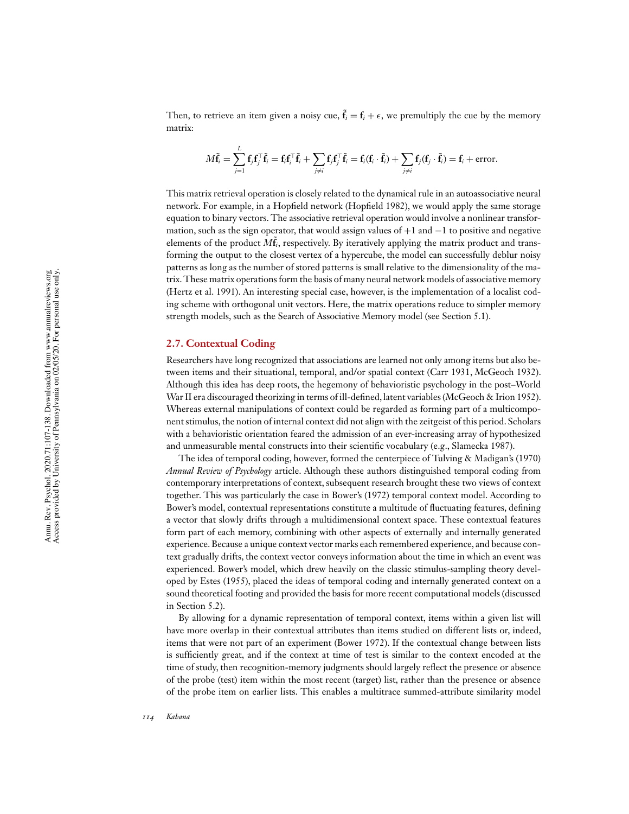Then, to retrieve an item given a noisy cue,  $\tilde{\mathbf{f}}_i = \mathbf{f}_i + \epsilon$ , we premultiply the cue by the memory matrix:

$$
M\tilde{\mathbf{f}}_i = \sum_{j=1}^L \mathbf{f}_j \mathbf{f}_j^\top \tilde{\mathbf{f}}_i = \mathbf{f}_i \mathbf{f}_i^\top \tilde{\mathbf{f}}_i + \sum_{j \neq i} \mathbf{f}_j \mathbf{f}_j^\top \tilde{\mathbf{f}}_i = \mathbf{f}_i (\mathbf{f}_i \cdot \tilde{\mathbf{f}}_i) + \sum_{j \neq i} \mathbf{f}_j (\mathbf{f}_j \cdot \tilde{\mathbf{f}}_i) = \mathbf{f}_i + \text{error}.
$$

This matrix retrieval operation is closely related to the dynamical rule in an autoassociative neural network. For example, in a Hopfield network (Hopfield 1982), we would apply the same storage equation to binary vectors. The associative retrieval operation would involve a nonlinear transformation, such as the sign operator, that would assign values of  $+1$  and  $-1$  to positive and negative elements of the product  $M\tilde{f}_i$ , respectively. By iteratively applying the matrix product and transforming the output to the closest vertex of a hypercube, the model can successfully deblur noisy patterns as long as the number of stored patterns is small relative to the dimensionality of the matrix. These matrix operations form the basis of many neural network models of associative memory (Hertz et al. 1991). An interesting special case, however, is the implementation of a localist coding scheme with orthogonal unit vectors. Here, the matrix operations reduce to simpler memory strength models, such as the Search of Associative Memory model (see Section 5.1).

# **2.7. Contextual Coding**

Researchers have long recognized that associations are learned not only among items but also between items and their situational, temporal, and/or spatial context (Carr 1931, McGeoch 1932). Although this idea has deep roots, the hegemony of behavioristic psychology in the post–World War II era discouraged theorizing in terms of ill-defined, latent variables (McGeoch & Irion 1952). Whereas external manipulations of context could be regarded as forming part of a multicomponent stimulus, the notion of internal context did not align with the zeitgeist of this period. Scholars with a behavioristic orientation feared the admission of an ever-increasing array of hypothesized and unmeasurable mental constructs into their scientific vocabulary (e.g., Slamecka 1987).

The idea of temporal coding, however, formed the centerpiece of Tulving & Madigan's (1970) *Annual Review of Psychology* article. Although these authors distinguished temporal coding from contemporary interpretations of context, subsequent research brought these two views of context together. This was particularly the case in Bower's (1972) temporal context model. According to Bower's model, contextual representations constitute a multitude of fluctuating features, defining a vector that slowly drifts through a multidimensional context space. These contextual features form part of each memory, combining with other aspects of externally and internally generated experience. Because a unique context vector marks each remembered experience, and because context gradually drifts, the context vector conveys information about the time in which an event was experienced. Bower's model, which drew heavily on the classic stimulus-sampling theory developed by Estes (1955), placed the ideas of temporal coding and internally generated context on a sound theoretical footing and provided the basis for more recent computational models (discussed in Section 5.2).

By allowing for a dynamic representation of temporal context, items within a given list will have more overlap in their contextual attributes than items studied on different lists or, indeed, items that were not part of an experiment (Bower 1972). If the contextual change between lists is sufficiently great, and if the context at time of test is similar to the context encoded at the time of study, then recognition-memory judgments should largely reflect the presence or absence of the probe (test) item within the most recent (target) list, rather than the presence or absence of the probe item on earlier lists. This enables a multitrace summed-attribute similarity model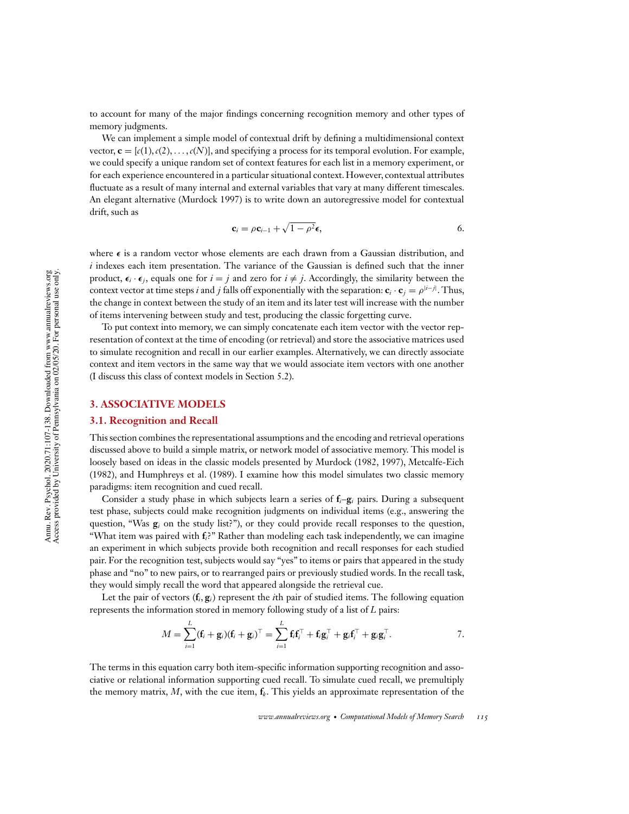to account for many of the major findings concerning recognition memory and other types of memory judgments.

We can implement a simple model of contextual drift by defining a multidimensional context vector,  $\mathbf{c} = [c(1), c(2), \dots, c(N)]$ , and specifying a process for its temporal evolution. For example, we could specify a unique random set of context features for each list in a memory experiment, or for each experience encountered in a particular situational context. However, contextual attributes fluctuate as a result of many internal and external variables that vary at many different timescales. An elegant alternative (Murdock 1997) is to write down an autoregressive model for contextual drift, such as

$$
\mathbf{c}_i = \rho \mathbf{c}_{i-1} + \sqrt{1 - \rho^2} \boldsymbol{\epsilon}, \qquad (6)
$$

where  $\epsilon$  is a random vector whose elements are each drawn from a Gaussian distribution, and  $i$  indexes each item presentation. The variance of the Gaussian is defined such that the inner product,  $\epsilon_i \cdot \epsilon_j$ , equals one for  $i = j$  and zero for  $i \neq j$ . Accordingly, the similarity between the context vector at time steps *i* and *j* falls off exponentially with the separation:  $\mathbf{c}_i \cdot \mathbf{c}_j = \rho^{|i-j|}$ . Thus, the change in context between the study of an item and its later test will increase with the number of items intervening between study and test, producing the classic forgetting curve.

To put context into memory, we can simply concatenate each item vector with the vector representation of context at the time of encoding (or retrieval) and store the associative matrices used to simulate recognition and recall in our earlier examples. Alternatively, we can directly associate context and item vectors in the same way that we would associate item vectors with one another (I discuss this class of context models in Section 5.2).

### **3. ASSOCIATIVE MODELS**

### **3.1. Recognition and Recall**

This section combines the representational assumptions and the encoding and retrieval operations discussed above to build a simple matrix, or network model of associative memory. This model is loosely based on ideas in the classic models presented by Murdock (1982, 1997), Metcalfe-Eich (1982), and Humphreys et al. (1989). I examine how this model simulates two classic memory paradigms: item recognition and cued recall.

Consider a study phase in which subjects learn a series of **f***i*–**g***<sup>i</sup>* pairs. During a subsequent test phase, subjects could make recognition judgments on individual items (e.g., answering the question, "Was **g***<sup>i</sup>* on the study list?"), or they could provide recall responses to the question, "What item was paired with **f***i*?" Rather than modeling each task independently, we can imagine an experiment in which subjects provide both recognition and recall responses for each studied pair. For the recognition test, subjects would say "yes" to items or pairs that appeared in the study phase and "no" to new pairs, or to rearranged pairs or previously studied words. In the recall task, they would simply recall the word that appeared alongside the retrieval cue.

Let the pair of vectors  $(f_i, g_j)$  represent the *i*th pair of studied items. The following equation represents the information stored in memory following study of a list of *L* pairs:

$$
M = \sum_{i=1}^{L} (\mathbf{f}_i + \mathbf{g}_i)(\mathbf{f}_i + \mathbf{g}_i)^{\top} = \sum_{i=1}^{L} \mathbf{f}_i \mathbf{f}_i^{\top} + \mathbf{f}_i \mathbf{g}_i^{\top} + \mathbf{g}_i \mathbf{f}_i^{\top} + \mathbf{g}_i \mathbf{g}_i^{\top}.
$$

The terms in this equation carry both item-specific information supporting recognition and associative or relational information supporting cued recall. To simulate cued recall, we premultiply the memory matrix,  $M$ , with the cue item,  $f_k$ . This yields an approximate representation of the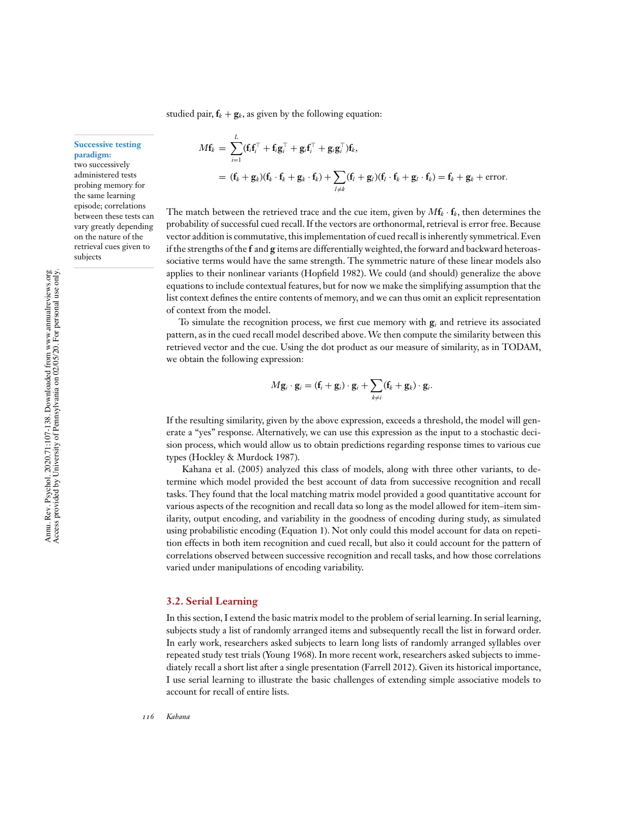studied pair,  $f_k + g_k$ , as given by the following equation:

**Successive testing paradigm:**

two successively administered tests probing memory for the same learning episode; correlations between these tests can vary greatly depending on the nature of the retrieval cues given to subjects

$$
M\mathbf{f}_k = \sum_{i=1}^L (\mathbf{f}_i \mathbf{f}_i^\top + \mathbf{f}_i \mathbf{g}_i^\top + \mathbf{g}_i \mathbf{f}_i^\top + \mathbf{g}_i \mathbf{g}_i^\top) \mathbf{f}_k,
$$
  
=  $(\mathbf{f}_k + \mathbf{g}_k)(\mathbf{f}_k \cdot \mathbf{f}_k + \mathbf{g}_k \cdot \mathbf{f}_k) + \sum_{l \neq k} (\mathbf{f}_l + \mathbf{g}_l)(\mathbf{f}_l \cdot \mathbf{f}_k + \mathbf{g}_l \cdot \mathbf{f}_k) = \mathbf{f}_k + \mathbf{g}_k + \text{error}.$ 

The match between the retrieved trace and the cue item, given by  $M\mathbf{f}_k \cdot \mathbf{f}_k$ , then determines the probability of successful cued recall. If the vectors are orthonormal, retrieval is error free. Because vector addition is commutative, this implementation of cued recall is inherently symmetrical. Even if the strengths of the **f** and **g** items are differentially weighted, the forward and backward heteroassociative terms would have the same strength. The symmetric nature of these linear models also applies to their nonlinear variants (Hopfield 1982). We could (and should) generalize the above equations to include contextual features, but for now we make the simplifying assumption that the list context defines the entire contents of memory, and we can thus omit an explicit representation of context from the model.

To simulate the recognition process, we first cue memory with  $g_i$  and retrieve its associated pattern, as in the cued recall model described above. We then compute the similarity between this retrieved vector and the cue. Using the dot product as our measure of similarity, as in TODAM, we obtain the following expression:

$$
M\mathbf{g}_i \cdot \mathbf{g}_i = (\mathbf{f}_i + \mathbf{g}_i) \cdot \mathbf{g}_i + \sum_{k \neq i} (\mathbf{f}_k + \mathbf{g}_k) \cdot \mathbf{g}_i.
$$

If the resulting similarity, given by the above expression, exceeds a threshold, the model will generate a "yes" response. Alternatively, we can use this expression as the input to a stochastic decision process, which would allow us to obtain predictions regarding response times to various cue types (Hockley & Murdock 1987).

Kahana et al. (2005) analyzed this class of models, along with three other variants, to determine which model provided the best account of data from successive recognition and recall tasks. They found that the local matching matrix model provided a good quantitative account for various aspects of the recognition and recall data so long as the model allowed for item–item similarity, output encoding, and variability in the goodness of encoding during study, as simulated using probabilistic encoding (Equation 1). Not only could this model account for data on repetition effects in both item recognition and cued recall, but also it could account for the pattern of correlations observed between successive recognition and recall tasks, and how those correlations varied under manipulations of encoding variability.

## **3.2. Serial Learning**

In this section, I extend the basic matrix model to the problem of serial learning. In serial learning, subjects study a list of randomly arranged items and subsequently recall the list in forward order. In early work, researchers asked subjects to learn long lists of randomly arranged syllables over repeated study test trials (Young 1968). In more recent work, researchers asked subjects to immediately recall a short list after a single presentation (Farrell 2012). Given its historical importance, I use serial learning to illustrate the basic challenges of extending simple associative models to account for recall of entire lists.

*116 Kahana*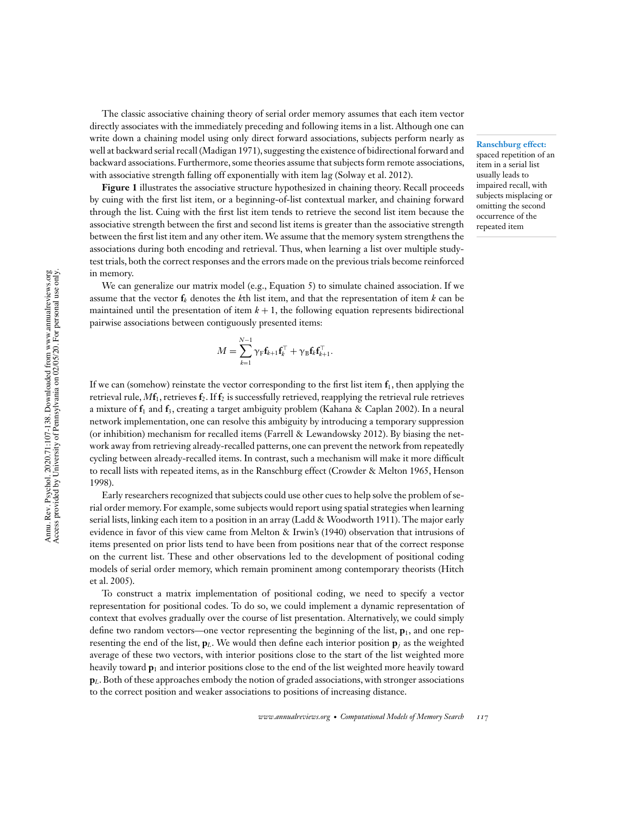The classic associative chaining theory of serial order memory assumes that each item vector directly associates with the immediately preceding and following items in a list. Although one can write down a chaining model using only direct forward associations, subjects perform nearly as well at backward serial recall (Madigan 1971), suggesting the existence of bidirectional forward and backward associations. Furthermore, some theories assume that subjects form remote associations, with associative strength falling off exponentially with item lag (Solway et al. 2012).

**Figure 1** illustrates the associative structure hypothesized in chaining theory. Recall proceeds by cuing with the first list item, or a beginning-of-list contextual marker, and chaining forward through the list. Cuing with the first list item tends to retrieve the second list item because the associative strength between the first and second list items is greater than the associative strength between the first list item and any other item. We assume that the memory system strengthens the associations during both encoding and retrieval. Thus, when learning a list over multiple studytest trials, both the correct responses and the errors made on the previous trials become reinforced in memory.

We can generalize our matrix model (e.g., Equation 5) to simulate chained association. If we assume that the vector  $f_k$  denotes the *k*th list item, and that the representation of item *k* can be maintained until the presentation of item  $k + 1$ , the following equation represents bidirectional pairwise associations between contiguously presented items:

$$
M = \sum_{k=1}^{N-1} \gamma_{\mathrm{F}} \mathbf{f}_{k+1} \mathbf{f}_{k}^{\top} + \gamma_{\mathrm{B}} \mathbf{f}_{k} \mathbf{f}_{k+1}^{\top}.
$$

If we can (somehow) reinstate the vector corresponding to the first list item  $f_1$ , then applying the retrieval rule,  $M$ **f**<sub>1</sub>, retrieves **f**<sub>2</sub>. If **f**<sub>2</sub> is successfully retrieved, reapplying the retrieval rule retrieves a mixture of  $f_1$  and  $f_3$ , creating a target ambiguity problem (Kahana & Caplan 2002). In a neural network implementation, one can resolve this ambiguity by introducing a temporary suppression (or inhibition) mechanism for recalled items (Farrell & Lewandowsky 2012). By biasing the network away from retrieving already-recalled patterns, one can prevent the network from repeatedly cycling between already-recalled items. In contrast, such a mechanism will make it more difficult to recall lists with repeated items, as in the Ranschburg effect (Crowder & Melton 1965, Henson 1998).

Early researchers recognized that subjects could use other cues to help solve the problem of serial order memory. For example, some subjects would report using spatial strategies when learning serial lists, linking each item to a position in an array (Ladd & Woodworth 1911). The major early evidence in favor of this view came from Melton & Irwin's (1940) observation that intrusions of items presented on prior lists tend to have been from positions near that of the correct response on the current list. These and other observations led to the development of positional coding models of serial order memory, which remain prominent among contemporary theorists (Hitch et al. 2005).

To construct a matrix implementation of positional coding, we need to specify a vector representation for positional codes. To do so, we could implement a dynamic representation of context that evolves gradually over the course of list presentation. Alternatively, we could simply define two random vectors—one vector representing the beginning of the list,  $\mathbf{p}_1$ , and one representing the end of the list,  $\mathbf{p}_L$ . We would then define each interior position  $\mathbf{p}_i$  as the weighted average of these two vectors, with interior positions close to the start of the list weighted more heavily toward **p**<sup>1</sup> and interior positions close to the end of the list weighted more heavily toward  $p_L$ . Both of these approaches embody the notion of graded associations, with stronger associations to the correct position and weaker associations to positions of increasing distance.

**Ranschburg effect:** spaced repetition of an item in a serial list usually leads to impaired recall, with subjects misplacing or omitting the second occurrence of the repeated item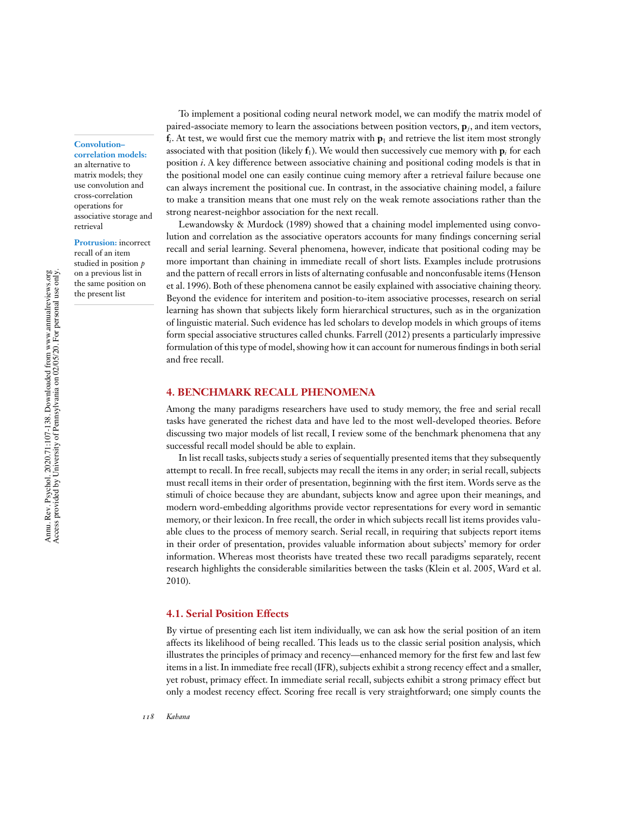#### **Convolution–**

**correlation models:** an alternative to matrix models; they use convolution and cross-correlation operations for associative storage and retrieval

**Protrusion:** incorrect recall of an item studied in position *p* on a previous list in the same position on the present list

To implement a positional coding neural network model, we can modify the matrix model of paired-associate memory to learn the associations between position vectors,  $\mathbf{p}_i$ , and item vectors,  $f_i$ . At test, we would first cue the memory matrix with  $p_1$  and retrieve the list item most strongly associated with that position (likely  $f_1$ ). We would then successively cue memory with  $p_i$  for each position *i*. A key difference between associative chaining and positional coding models is that in the positional model one can easily continue cuing memory after a retrieval failure because one can always increment the positional cue. In contrast, in the associative chaining model, a failure to make a transition means that one must rely on the weak remote associations rather than the strong nearest-neighbor association for the next recall.

Lewandowsky & Murdock (1989) showed that a chaining model implemented using convolution and correlation as the associative operators accounts for many findings concerning serial recall and serial learning. Several phenomena, however, indicate that positional coding may be more important than chaining in immediate recall of short lists. Examples include protrusions and the pattern of recall errors in lists of alternating confusable and nonconfusable items (Henson et al. 1996). Both of these phenomena cannot be easily explained with associative chaining theory. Beyond the evidence for interitem and position-to-item associative processes, research on serial learning has shown that subjects likely form hierarchical structures, such as in the organization of linguistic material. Such evidence has led scholars to develop models in which groups of items form special associative structures called chunks. Farrell (2012) presents a particularly impressive formulation of this type of model, showing how it can account for numerous findings in both serial and free recall.

# **4. BENCHMARK RECALL PHENOMENA**

Among the many paradigms researchers have used to study memory, the free and serial recall tasks have generated the richest data and have led to the most well-developed theories. Before discussing two major models of list recall, I review some of the benchmark phenomena that any successful recall model should be able to explain.

In list recall tasks, subjects study a series of sequentially presented items that they subsequently attempt to recall. In free recall, subjects may recall the items in any order; in serial recall, subjects must recall items in their order of presentation, beginning with the first item. Words serve as the stimuli of choice because they are abundant, subjects know and agree upon their meanings, and modern word-embedding algorithms provide vector representations for every word in semantic memory, or their lexicon. In free recall, the order in which subjects recall list items provides valuable clues to the process of memory search. Serial recall, in requiring that subjects report items in their order of presentation, provides valuable information about subjects' memory for order information. Whereas most theorists have treated these two recall paradigms separately, recent research highlights the considerable similarities between the tasks (Klein et al. 2005, Ward et al. 2010).

### **4.1. Serial Position Effects**

By virtue of presenting each list item individually, we can ask how the serial position of an item affects its likelihood of being recalled. This leads us to the classic serial position analysis, which illustrates the principles of primacy and recency—enhanced memory for the first few and last few items in a list. In immediate free recall (IFR), subjects exhibit a strong recency effect and a smaller, yet robust, primacy effect. In immediate serial recall, subjects exhibit a strong primacy effect but only a modest recency effect. Scoring free recall is very straightforward; one simply counts the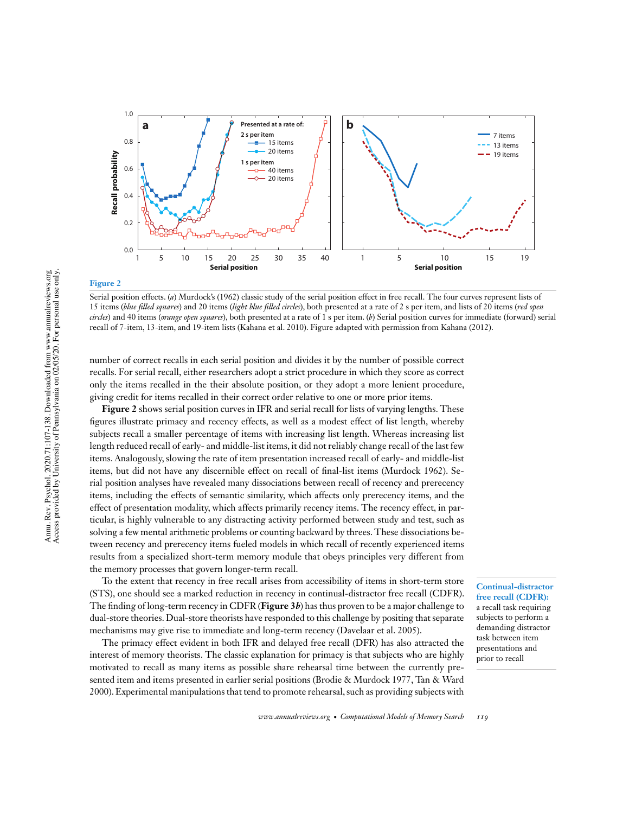

#### **Figure 2**

Serial position effects. (*a*) Murdock's (1962) classic study of the serial position effect in free recall. The four curves represent lists of 15 items (*blue +lled squares*) and 20 items (*light blue +lled circles*), both presented at a rate of 2 s per item, and lists of 20 items (*red open circles*) and 40 items (*orange open squares*), both presented at a rate of 1 s per item. (*b*) Serial position curves for immediate (forward) serial recall of 7-item, 13-item, and 19-item lists (Kahana et al. 2010). Figure adapted with permission from Kahana (2012).

number of correct recalls in each serial position and divides it by the number of possible correct recalls. For serial recall, either researchers adopt a strict procedure in which they score as correct only the items recalled in the their absolute position, or they adopt a more lenient procedure, giving credit for items recalled in their correct order relative to one or more prior items.

**Figure 2** shows serial position curves in IFR and serial recall for lists of varying lengths. These figures illustrate primacy and recency effects, as well as a modest effect of list length, whereby subjects recall a smaller percentage of items with increasing list length. Whereas increasing list length reduced recall of early- and middle-list items, it did not reliably change recall of the last few items. Analogously, slowing the rate of item presentation increased recall of early- and middle-list items, but did not have any discernible effect on recall of final-list items (Murdock 1962). Serial position analyses have revealed many dissociations between recall of recency and prerecency items, including the effects of semantic similarity, which affects only prerecency items, and the effect of presentation modality, which affects primarily recency items. The recency effect, in particular, is highly vulnerable to any distracting activity performed between study and test, such as solving a few mental arithmetic problems or counting backward by threes. These dissociations between recency and prerecency items fueled models in which recall of recently experienced items results from a specialized short-term memory module that obeys principles very different from the memory processes that govern longer-term recall.

To the extent that recency in free recall arises from accessibility of items in short-term store (STS), one should see a marked reduction in recency in continual-distractor free recall (CDFR). The finding of long-term recency in CDFR (**Figure 3***b*) has thus proven to be a major challenge to dual-store theories. Dual-store theorists have responded to this challenge by positing that separate mechanisms may give rise to immediate and long-term recency (Davelaar et al. 2005).

The primacy effect evident in both IFR and delayed free recall (DFR) has also attracted the interest of memory theorists. The classic explanation for primacy is that subjects who are highly motivated to recall as many items as possible share rehearsal time between the currently presented item and items presented in earlier serial positions (Brodie & Murdock 1977, Tan & Ward 2000). Experimental manipulations that tend to promote rehearsal, such as providing subjects with

**Continual-distractor free recall (CDFR):** a recall task requiring subjects to perform a demanding distractor task between item presentations and prior to recall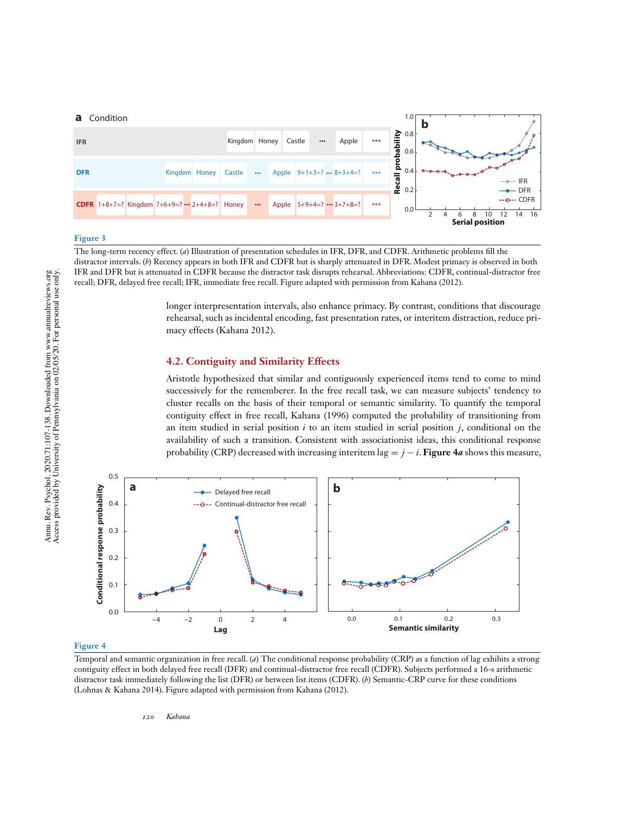

# **Figure 3**

The long-term recency effect. (a) Illustration of presentation schedules in IFR, DFR, and CDFR. Arithmetic problems fill the distractor intervals. (*b*) Recency appears in both IFR and CDFR but is sharply attenuated in DFR. Modest primacy is observed in both IFR and DFR but is attenuated in CDFR because the distractor task disrupts rehearsal. Abbreviations: CDFR, continual-distractor free recall; DFR, delayed free recall; IFR, immediate free recall. Figure adapted with permission from Kahana (2012).

longer interpresentation intervals, also enhance primacy. By contrast, conditions that discourage rehearsal, such as incidental encoding, fast presentation rates, or interitem distraction, reduce primacy effects (Kahana 2012).

# **4.2. Contiguity and Similarity Effects**

Aristotle hypothesized that similar and contiguously experienced items tend to come to mind successively for the rememberer. In the free recall task, we can measure subjects' tendency to cluster recalls on the basis of their temporal or semantic similarity. To quantify the temporal contiguity effect in free recall, Kahana (1996) computed the probability of transitioning from an item studied in serial position *i* to an item studied in serial position *j*, conditional on the availability of such a transition. Consistent with associationist ideas, this conditional response probability (CRP) decreased with increasing interitem lag =  $j - i$ . **Figure 4***a* shows this measure,



# **Figure 4**

Temporal and semantic organization in free recall. (*a*) The conditional response probability (CRP) as a function of lag exhibits a strong contiguity effect in both delayed free recall (DFR) and continual-distractor free recall (CDFR). Subjects performed a 16-s arithmetic distractor task immediately following the list (DFR) or between list items (CDFR). (*b*) Semantic-CRP curve for these conditions (Lohnas & Kahana 2014). Figure adapted with permission from Kahana (2012).

*120 Kahana*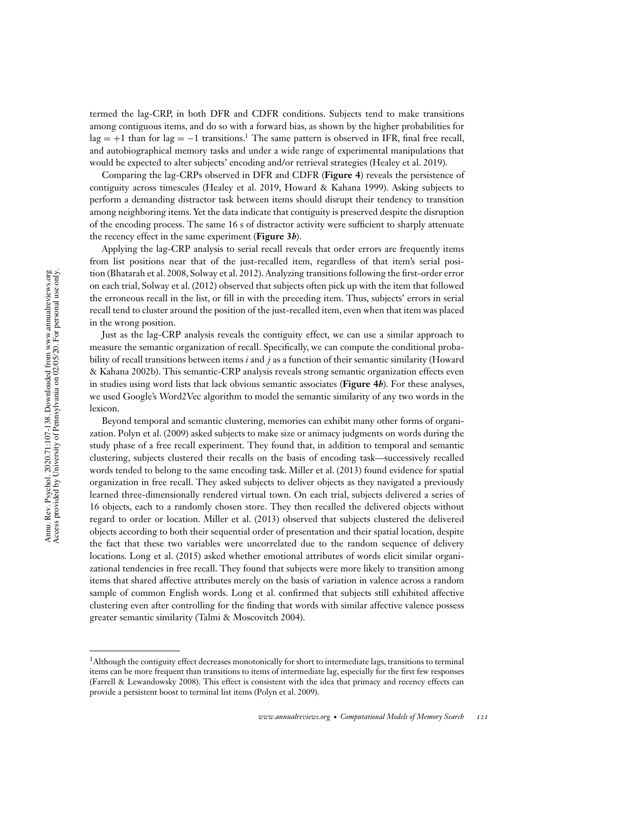termed the lag-CRP, in both DFR and CDFR conditions. Subjects tend to make transitions among contiguous items, and do so with a forward bias, as shown by the higher probabilities for  $\log = +1$  than for  $\log = -1$  transitions.<sup>1</sup> The same pattern is observed in IFR, final free recall, and autobiographical memory tasks and under a wide range of experimental manipulations that would be expected to alter subjects' encoding and/or retrieval strategies (Healey et al. 2019).

Comparing the lag-CRPs observed in DFR and CDFR (**Figure 4**) reveals the persistence of contiguity across timescales (Healey et al. 2019, Howard & Kahana 1999). Asking subjects to perform a demanding distractor task between items should disrupt their tendency to transition among neighboring items. Yet the data indicate that contiguity is preserved despite the disruption of the encoding process. The same 16 s of distractor activity were sufficient to sharply attenuate the recency effect in the same experiment (**Figure 3***b*).

Applying the lag-CRP analysis to serial recall reveals that order errors are frequently items from list positions near that of the just-recalled item, regardless of that item's serial position (Bhatarah et al. 2008, Solway et al. 2012). Analyzing transitions following the first-order error on each trial, Solway et al. (2012) observed that subjects often pick up with the item that followed the erroneous recall in the list, or fill in with the preceding item. Thus, subjects' errors in serial recall tend to cluster around the position of the just-recalled item, even when that item was placed in the wrong position.

Just as the lag-CRP analysis reveals the contiguity effect, we can use a similar approach to measure the semantic organization of recall. Specifically, we can compute the conditional probability of recall transitions between items *i* and *j* as a function of their semantic similarity (Howard & Kahana 2002b). This semantic-CRP analysis reveals strong semantic organization effects even in studies using word lists that lack obvious semantic associates (**Figure 4***b*). For these analyses, we used Google's Word2Vec algorithm to model the semantic similarity of any two words in the lexicon.

Beyond temporal and semantic clustering, memories can exhibit many other forms of organization. Polyn et al. (2009) asked subjects to make size or animacy judgments on words during the study phase of a free recall experiment. They found that, in addition to temporal and semantic clustering, subjects clustered their recalls on the basis of encoding task—successively recalled words tended to belong to the same encoding task. Miller et al. (2013) found evidence for spatial organization in free recall. They asked subjects to deliver objects as they navigated a previously learned three-dimensionally rendered virtual town. On each trial, subjects delivered a series of 16 objects, each to a randomly chosen store. They then recalled the delivered objects without regard to order or location. Miller et al. (2013) observed that subjects clustered the delivered objects according to both their sequential order of presentation and their spatial location, despite the fact that these two variables were uncorrelated due to the random sequence of delivery locations. Long et al. (2015) asked whether emotional attributes of words elicit similar organizational tendencies in free recall. They found that subjects were more likely to transition among items that shared affective attributes merely on the basis of variation in valence across a random sample of common English words. Long et al. confirmed that subjects still exhibited affective clustering even after controlling for the finding that words with similar affective valence possess greater semantic similarity (Talmi & Moscovitch 2004).

<sup>1</sup>Although the contiguity effect decreases monotonically for short to intermediate lags, transitions to terminal items can be more frequent than transitions to items of intermediate lag, especially for the first few responses (Farrell & Lewandowsky 2008). This effect is consistent with the idea that primacy and recency effects can provide a persistent boost to terminal list items (Polyn et al. 2009).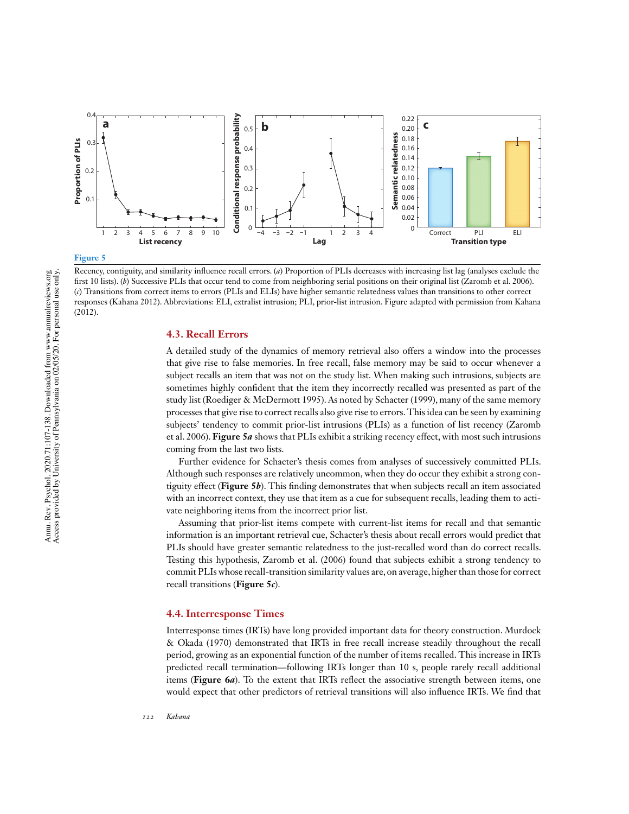

Recency, contiguity, and similarity influence recall errors. (*a*) Proportion of PLIs decreases with increasing list lag (analyses exclude the first 10 lists). (b) Successive PLIs that occur tend to come from neighboring serial positions on their original list (Zaromb et al. 2006). (*c*) Transitions from correct items to errors (PLIs and ELIs) have higher semantic relatedness values than transitions to other correct responses (Kahana 2012). Abbreviations: ELI, extralist intrusion; PLI, prior-list intrusion. Figure adapted with permission from Kahana (2012).

# **4.3. Recall Errors**

A detailed study of the dynamics of memory retrieval also offers a window into the processes that give rise to false memories. In free recall, false memory may be said to occur whenever a subject recalls an item that was not on the study list. When making such intrusions, subjects are sometimes highly confident that the item they incorrectly recalled was presented as part of the study list (Roediger & McDermott 1995). As noted by Schacter (1999), many of the same memory processes that give rise to correct recalls also give rise to errors. This idea can be seen by examining subjects' tendency to commit prior-list intrusions (PLIs) as a function of list recency (Zaromb et al. 2006). **Figure 5***a* shows that PLIs exhibit a striking recency effect, with most such intrusions coming from the last two lists.

Further evidence for Schacter's thesis comes from analyses of successively committed PLIs. Although such responses are relatively uncommon, when they do occur they exhibit a strong contiguity effect (Figure 5*b*). This finding demonstrates that when subjects recall an item associated with an incorrect context, they use that item as a cue for subsequent recalls, leading them to activate neighboring items from the incorrect prior list.

Assuming that prior-list items compete with current-list items for recall and that semantic information is an important retrieval cue, Schacter's thesis about recall errors would predict that PLIs should have greater semantic relatedness to the just-recalled word than do correct recalls. Testing this hypothesis, Zaromb et al. (2006) found that subjects exhibit a strong tendency to commit PLIs whose recall-transition similarity values are, on average, higher than those for correct recall transitions (**Figure 5***c*).

# **4.4. Interresponse Times**

Interresponse times (IRTs) have long provided important data for theory construction. Murdock & Okada (1970) demonstrated that IRTs in free recall increase steadily throughout the recall period, growing as an exponential function of the number of items recalled. This increase in IRTs predicted recall termination—following IRTs longer than 10 s, people rarely recall additional items (**Figure 6***a*). To the extent that IRTs reflect the associative strength between items, one would expect that other predictors of retrieval transitions will also influence IRTs. We find that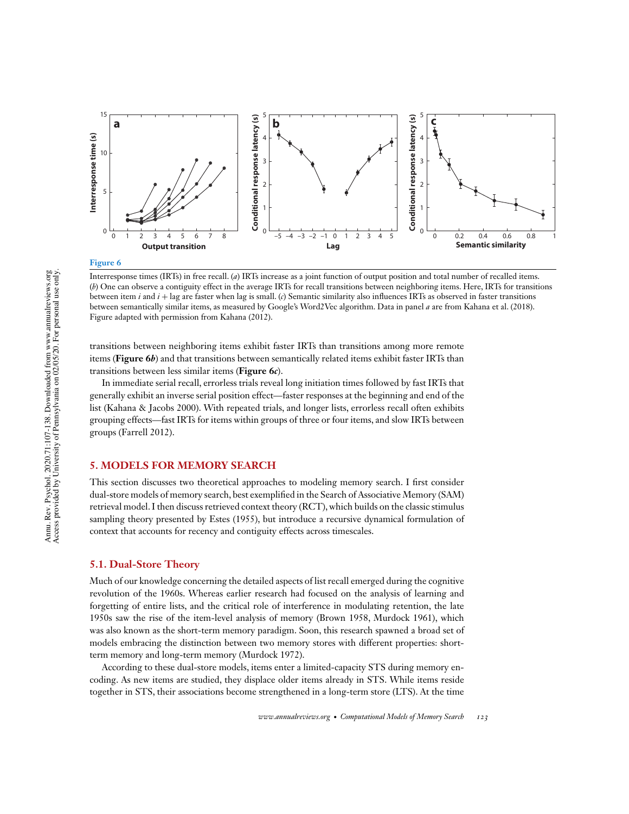

### **Figure 6**

Interresponse times (IRTs) in free recall. (*a*) IRTs increase as a joint function of output position and total number of recalled items. (*b*) One can observe a contiguity effect in the average IRTs for recall transitions between neighboring items. Here, IRTs for transitions between item *i* and *i* + lag are faster when lag is small. (*c*) Semantic similarity also influences IRTs as observed in faster transitions between semantically similar items, as measured by Google's Word2Vec algorithm. Data in panel *a* are from Kahana et al. (2018). Figure adapted with permission from Kahana (2012).

transitions between neighboring items exhibit faster IRTs than transitions among more remote items (**Figure 6***b*) and that transitions between semantically related items exhibit faster IRTs than transitions between less similar items (**Figure 6***c*).

In immediate serial recall, errorless trials reveal long initiation times followed by fast IRTs that generally exhibit an inverse serial position effect—faster responses at the beginning and end of the list (Kahana & Jacobs 2000). With repeated trials, and longer lists, errorless recall often exhibits grouping effects—fast IRTs for items within groups of three or four items, and slow IRTs between groups (Farrell 2012).

# **5. MODELS FOR MEMORY SEARCH**

This section discusses two theoretical approaches to modeling memory search. I first consider dual-store models of memory search, best exemplified in the Search of Associative Memory (SAM) retrieval model. I then discuss retrieved context theory (RCT), which builds on the classic stimulus sampling theory presented by Estes (1955), but introduce a recursive dynamical formulation of context that accounts for recency and contiguity effects across timescales.

# **5.1. Dual-Store Theory**

Much of our knowledge concerning the detailed aspects of list recall emerged during the cognitive revolution of the 1960s. Whereas earlier research had focused on the analysis of learning and forgetting of entire lists, and the critical role of interference in modulating retention, the late 1950s saw the rise of the item-level analysis of memory (Brown 1958, Murdock 1961), which was also known as the short-term memory paradigm. Soon, this research spawned a broad set of models embracing the distinction between two memory stores with different properties: shortterm memory and long-term memory (Murdock 1972).

According to these dual-store models, items enter a limited-capacity STS during memory encoding. As new items are studied, they displace older items already in STS. While items reside together in STS, their associations become strengthened in a long-term store (LTS). At the time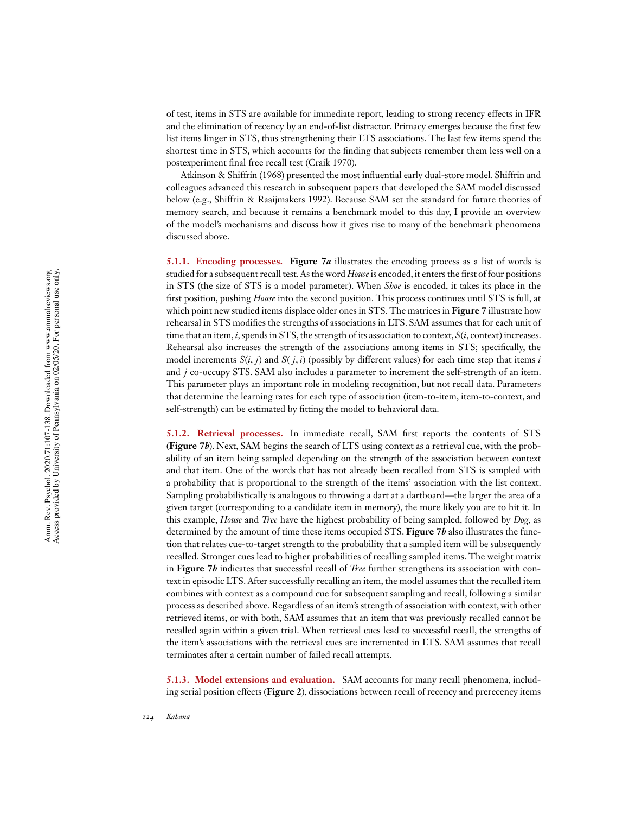of test, items in STS are available for immediate report, leading to strong recency effects in IFR and the elimination of recency by an end-of-list distractor. Primacy emerges because the first few list items linger in STS, thus strengthening their LTS associations. The last few items spend the shortest time in STS, which accounts for the finding that subjects remember them less well on a postexperiment final free recall test (Craik 1970).

Atkinson & Shiffrin (1968) presented the most influential early dual-store model. Shiffrin and colleagues advanced this research in subsequent papers that developed the SAM model discussed below (e.g., Shiffrin & Raaijmakers 1992). Because SAM set the standard for future theories of memory search, and because it remains a benchmark model to this day, I provide an overview of the model's mechanisms and discuss how it gives rise to many of the benchmark phenomena discussed above.

**5.1.1. Encoding processes. Figure 7***a* illustrates the encoding process as a list of words is studied for a subsequent recall test. As the word *House* is encoded, it enters the first of four positions in STS (the size of STS is a model parameter). When *Shoe* is encoded, it takes its place in the first position, pushing *House* into the second position. This process continues until STS is full, at which point new studied items displace older ones in STS. The matrices in **Figure 7** illustrate how rehearsal in STS modifies the strengths of associations in LTS. SAM assumes that for each unit of time that an item,  $i$ , spends in STS, the strength of its association to context,  $S(i)$ , context) increases. Rehearsal also increases the strength of the associations among items in STS; specifically, the model increments  $S(i, j)$  and  $S(j, i)$  (possibly by different values) for each time step that items *i* and *j* co-occupy STS. SAM also includes a parameter to increment the self-strength of an item. This parameter plays an important role in modeling recognition, but not recall data. Parameters that determine the learning rates for each type of association (item-to-item, item-to-context, and self-strength) can be estimated by fitting the model to behavioral data.

**5.1.2. Retrieval processes.** In immediate recall, SAM first reports the contents of STS (**Figure 7***b*). Next, SAM begins the search of LTS using context as a retrieval cue, with the probability of an item being sampled depending on the strength of the association between context and that item. One of the words that has not already been recalled from STS is sampled with a probability that is proportional to the strength of the items' association with the list context. Sampling probabilistically is analogous to throwing a dart at a dartboard—the larger the area of a given target (corresponding to a candidate item in memory), the more likely you are to hit it. In this example, *House* and *Tree* have the highest probability of being sampled, followed by *Dog*, as determined by the amount of time these items occupied STS. **Figure 7***b* also illustrates the function that relates cue-to-target strength to the probability that a sampled item will be subsequently recalled. Stronger cues lead to higher probabilities of recalling sampled items. The weight matrix in **Figure 7***b* indicates that successful recall of *Tree* further strengthens its association with context in episodic LTS. After successfully recalling an item, the model assumes that the recalled item combines with context as a compound cue for subsequent sampling and recall, following a similar process as described above. Regardless of an item's strength of association with context, with other retrieved items, or with both, SAM assumes that an item that was previously recalled cannot be recalled again within a given trial. When retrieval cues lead to successful recall, the strengths of the item's associations with the retrieval cues are incremented in LTS. SAM assumes that recall terminates after a certain number of failed recall attempts.

**5.1.3. Model extensions and evaluation.** SAM accounts for many recall phenomena, including serial position effects (**Figure 2**), dissociations between recall of recency and prerecency items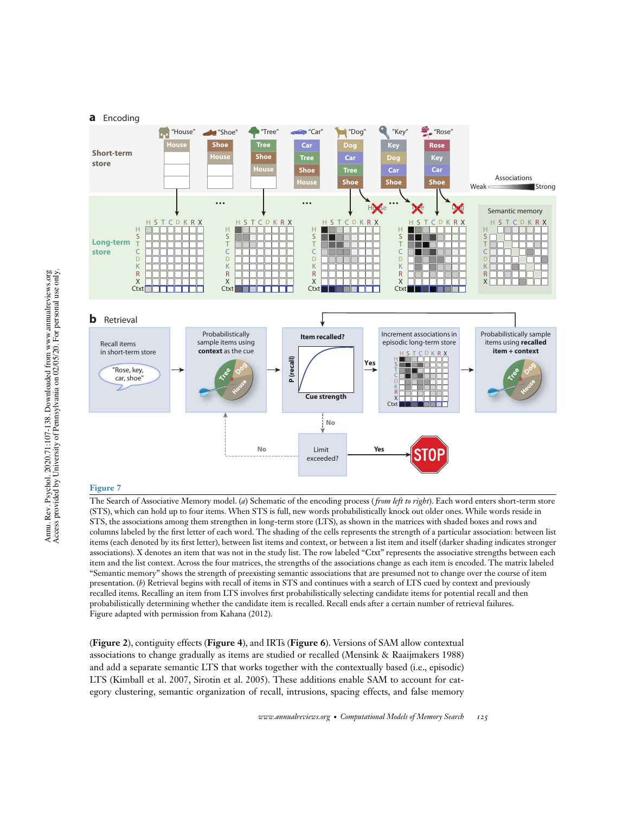### **a** Encoding



## **Figure 7**

The Search of Associative Memory model. (*a*) Schematic of the encoding process ( *from left to right*). Each word enters short-term store (STS), which can hold up to four items. When STS is full, new words probabilistically knock out older ones. While words reside in STS, the associations among them strengthen in long-term store (LTS), as shown in the matrices with shaded boxes and rows and columns labeled by the first letter of each word. The shading of the cells represents the strength of a particular association: between list items (each denoted by its first letter), between list items and context, or between a list item and itself (darker shading indicates stronger associations). X denotes an item that was not in the study list. The row labeled "Ctxt" represents the associative strengths between each item and the list context. Across the four matrices, the strengths of the associations change as each item is encoded. The matrix labeled "Semantic memory" shows the strength of preexisting semantic associations that are presumed not to change over the course of item presentation. (*b*) Retrieval begins with recall of items in STS and continues with a search of LTS cued by context and previously recalled items. Recalling an item from LTS involves first probabilistically selecting candidate items for potential recall and then probabilistically determining whether the candidate item is recalled. Recall ends after a certain number of retrieval failures. Figure adapted with permission from Kahana (2012).

(**Figure 2**), contiguity effects (**Figure 4**), and IRTs (**Figure 6**). Versions of SAM allow contextual associations to change gradually as items are studied or recalled (Mensink & Raaijmakers 1988) and add a separate semantic LTS that works together with the contextually based (i.e., episodic) LTS (Kimball et al. 2007, Sirotin et al. 2005). These additions enable SAM to account for category clustering, semantic organization of recall, intrusions, spacing effects, and false memory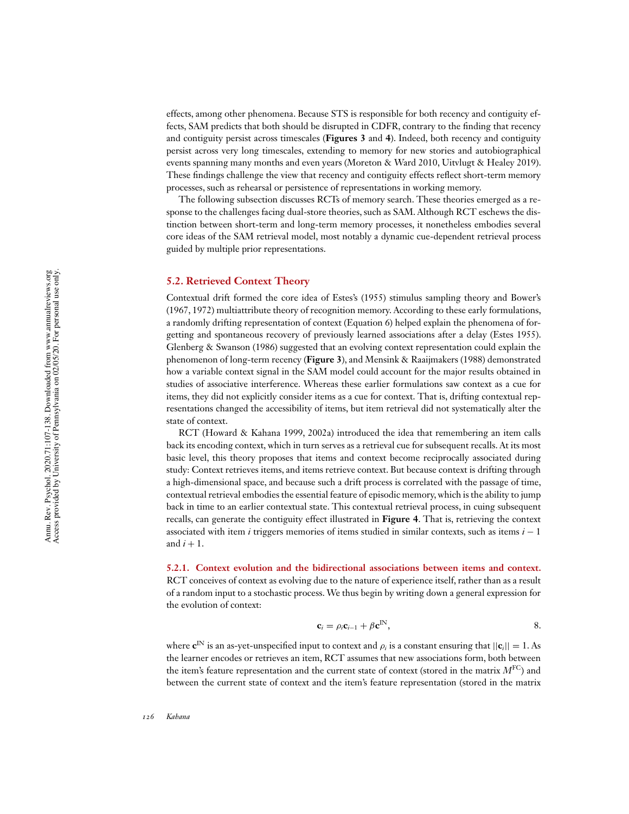effects, among other phenomena. Because STS is responsible for both recency and contiguity effects, SAM predicts that both should be disrupted in CDFR, contrary to the finding that recency and contiguity persist across timescales (**Figures 3** and **4**). Indeed, both recency and contiguity persist across very long timescales, extending to memory for new stories and autobiographical events spanning many months and even years (Moreton & Ward 2010, Uitvlugt & Healey 2019). These findings challenge the view that recency and contiguity effects reflect short-term memory processes, such as rehearsal or persistence of representations in working memory.

The following subsection discusses RCTs of memory search. These theories emerged as a response to the challenges facing dual-store theories, such as SAM. Although RCT eschews the distinction between short-term and long-term memory processes, it nonetheless embodies several core ideas of the SAM retrieval model, most notably a dynamic cue-dependent retrieval process guided by multiple prior representations.

# **5.2. Retrieved Context Theory**

Contextual drift formed the core idea of Estes's (1955) stimulus sampling theory and Bower's (1967, 1972) multiattribute theory of recognition memory. According to these early formulations, a randomly drifting representation of context (Equation 6) helped explain the phenomena of forgetting and spontaneous recovery of previously learned associations after a delay (Estes 1955). Glenberg & Swanson (1986) suggested that an evolving context representation could explain the phenomenon of long-term recency (**Figure 3**), and Mensink & Raaijmakers (1988) demonstrated how a variable context signal in the SAM model could account for the major results obtained in studies of associative interference. Whereas these earlier formulations saw context as a cue for items, they did not explicitly consider items as a cue for context. That is, drifting contextual representations changed the accessibility of items, but item retrieval did not systematically alter the state of context.

RCT (Howard & Kahana 1999, 2002a) introduced the idea that remembering an item calls back its encoding context, which in turn serves as a retrieval cue for subsequent recalls. At its most basic level, this theory proposes that items and context become reciprocally associated during study: Context retrieves items, and items retrieve context. But because context is drifting through a high-dimensional space, and because such a drift process is correlated with the passage of time, contextual retrieval embodies the essential feature of episodic memory, which is the ability to jump back in time to an earlier contextual state. This contextual retrieval process, in cuing subsequent recalls, can generate the contiguity effect illustrated in **Figure 4**. That is, retrieving the context associated with item *i* triggers memories of items studied in similar contexts, such as items *i* − 1 and  $i + 1$ .

**5.2.1. Context evolution and the bidirectional associations between items and context.** RCT conceives of context as evolving due to the nature of experience itself, rather than as a result of a random input to a stochastic process. We thus begin by writing down a general expression for the evolution of context:

$$
\mathbf{c}_i = \rho_i \mathbf{c}_{i-1} + \beta \mathbf{c}^{\mathbf{N}}, \tag{8}
$$

where  $\mathbf{c}^{\text{IN}}$  is an as-yet-unspecified input to context and  $\rho_i$  is a constant ensuring that  $||\mathbf{c}_i|| = 1$ . As the learner encodes or retrieves an item, RCT assumes that new associations form, both between the item's feature representation and the current state of context (stored in the matrix *M*FC) and between the current state of context and the item's feature representation (stored in the matrix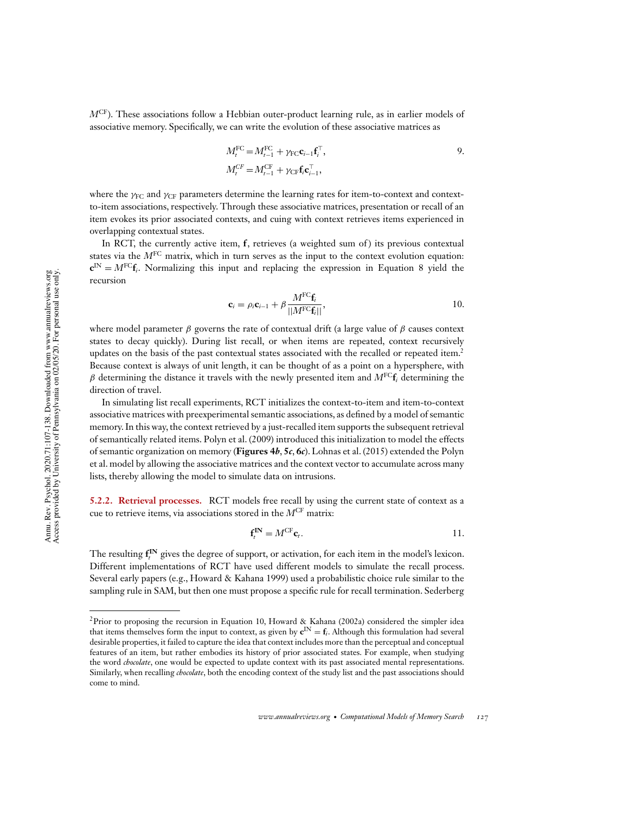*M*CF). These associations follow a Hebbian outer-product learning rule, as in earlier models of associative memory. Specifically, we can write the evolution of these associative matrices as

$$
M_t^{\text{FC}} = M_{t-1}^{\text{FC}} + \gamma_{\text{FC}} \mathbf{c}_{i-1} \mathbf{f}_i^{\top},
$$
  
\n
$$
M_t^{\text{CF}} = M_{t-1}^{\text{CF}} + \gamma_{\text{CF}} \mathbf{f}_i \mathbf{c}_{i-1}^{\top},
$$
\n
$$
(9)
$$

where the  $\gamma_{FC}$  and  $\gamma_{CF}$  parameters determine the learning rates for item-to-context and contextto-item associations, respectively. Through these associative matrices, presentation or recall of an item evokes its prior associated contexts, and cuing with context retrieves items experienced in overlapping contextual states.

In RCT, the currently active item, f, retrieves (a weighted sum of) its previous contextual states via the *M*FC matrix, which in turn serves as the input to the context evolution equation:  ${\bf c}^{IN} = M^{FC} {\bf f}_i$ . Normalizing this input and replacing the expression in Equation 8 yield the recursion

$$
\mathbf{c}_i = \rho_i \mathbf{c}_{i-1} + \beta \frac{M^{\text{FC}} \mathbf{f}_i}{||M^{\text{FC}} \mathbf{f}_i||},
$$
 10.

where model parameter  $\beta$  governs the rate of contextual drift (a large value of  $\beta$  causes context states to decay quickly). During list recall, or when items are repeated, context recursively updates on the basis of the past contextual states associated with the recalled or repeated item.<sup>2</sup> Because context is always of unit length, it can be thought of as a point on a hypersphere, with β determining the distance it travels with the newly presented item and  $M<sup>FC</sup>f<sub>i</sub>$  determining the direction of travel.

In simulating list recall experiments, RCT initializes the context-to-item and item-to-context associative matrices with preexperimental semantic associations, as defined by a model of semantic memory. In this way, the context retrieved by a just-recalled item supports the subsequent retrieval of semantically related items. Polyn et al. (2009) introduced this initialization to model the effects of semantic organization on memory (**Figures 4***b*, **5***c*, **6***c*). Lohnas et al. (2015) extended the Polyn et al. model by allowing the associative matrices and the context vector to accumulate across many lists, thereby allowing the model to simulate data on intrusions.

**5.2.2. Retrieval processes.** RCT models free recall by using the current state of context as a cue to retrieve items, via associations stored in the *M*CF matrix:

$$
\mathbf{f}_t^{\mathbf{IN}} = M^{\mathbf{CF}} \mathbf{c}_t.
$$

The resulting  $f_t^{\text{IN}}$  gives the degree of support, or activation, for each item in the model's lexicon. Different implementations of RCT have used different models to simulate the recall process. Several early papers (e.g., Howard & Kahana 1999) used a probabilistic choice rule similar to the sampling rule in SAM, but then one must propose a specific rule for recall termination. Sederberg

<sup>&</sup>lt;sup>2</sup>Prior to proposing the recursion in Equation 10, Howard & Kahana (2002a) considered the simpler idea that items themselves form the input to context, as given by  $\mathbf{c}^{IN} = \mathbf{f}_i$ . Although this formulation had several desirable properties, it failed to capture the idea that context includes more than the perceptual and conceptual features of an item, but rather embodies its history of prior associated states. For example, when studying the word *chocolate*, one would be expected to update context with its past associated mental representations. Similarly, when recalling *chocolate*, both the encoding context of the study list and the past associations should come to mind.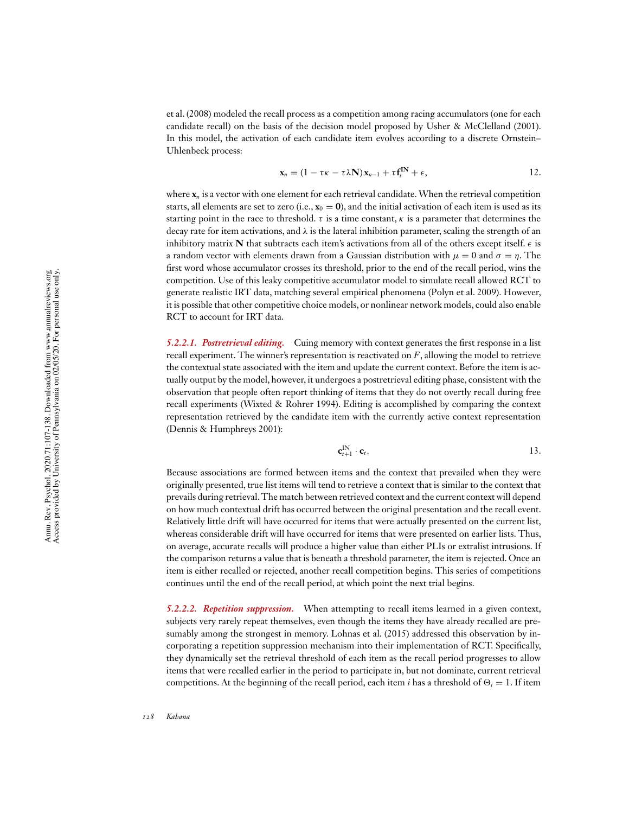et al. (2008) modeled the recall process as a competition among racing accumulators (one for each candidate recall) on the basis of the decision model proposed by Usher & McClelland (2001). In this model, the activation of each candidate item evolves according to a discrete Ornstein– Uhlenbeck process:

$$
\mathbf{x}_n = (1 - \tau \kappa - \tau \lambda \mathbf{N}) \mathbf{x}_{n-1} + \tau \mathbf{f}_t^{\mathbf{IN}} + \epsilon, \qquad 12.
$$

where **x***<sup>n</sup>* is a vector with one element for each retrieval candidate.When the retrieval competition starts, all elements are set to zero (i.e.,  $\mathbf{x}_0 = \mathbf{0}$ ), and the initial activation of each item is used as its starting point in the race to threshold.  $\tau$  is a time constant,  $\kappa$  is a parameter that determines the decay rate for item activations, and  $\lambda$  is the lateral inhibition parameter, scaling the strength of an inhibitory matrix **N** that subtracts each item's activations from all of the others except itself.  $\epsilon$  is a random vector with elements drawn from a Gaussian distribution with  $\mu = 0$  and  $\sigma = \eta$ . The first word whose accumulator crosses its threshold, prior to the end of the recall period, wins the competition. Use of this leaky competitive accumulator model to simulate recall allowed RCT to generate realistic IRT data, matching several empirical phenomena (Polyn et al. 2009). However, it is possible that other competitive choice models, or nonlinear network models, could also enable RCT to account for IRT data.

**5.2.2.1.** Postretrieval editing. Cuing memory with context generates the first response in a list recall experiment. The winner's representation is reactivated on *F*, allowing the model to retrieve the contextual state associated with the item and update the current context. Before the item is actually output by the model, however, it undergoes a postretrieval editing phase, consistent with the observation that people often report thinking of items that they do not overtly recall during free recall experiments (Wixted & Rohrer 1994). Editing is accomplished by comparing the context representation retrieved by the candidate item with the currently active context representation (Dennis & Humphreys 2001):

$$
\mathbf{c}_{t+1}^{\mathrm{IN}} \cdot \mathbf{c}_t. \tag{13}
$$

Because associations are formed between items and the context that prevailed when they were originally presented, true list items will tend to retrieve a context that is similar to the context that prevails during retrieval. The match between retrieved context and the current context will depend on how much contextual drift has occurred between the original presentation and the recall event. Relatively little drift will have occurred for items that were actually presented on the current list, whereas considerable drift will have occurred for items that were presented on earlier lists. Thus, on average, accurate recalls will produce a higher value than either PLIs or extralist intrusions. If the comparison returns a value that is beneath a threshold parameter, the item is rejected. Once an item is either recalled or rejected, another recall competition begins. This series of competitions continues until the end of the recall period, at which point the next trial begins.

*5.2.2.2. Repetition suppression.* When attempting to recall items learned in a given context, subjects very rarely repeat themselves, even though the items they have already recalled are presumably among the strongest in memory. Lohnas et al. (2015) addressed this observation by incorporating a repetition suppression mechanism into their implementation of RCT. Specifically, they dynamically set the retrieval threshold of each item as the recall period progresses to allow items that were recalled earlier in the period to participate in, but not dominate, current retrieval competitions. At the beginning of the recall period, each item *i* has a threshold of  $\Theta_i = 1$ . If item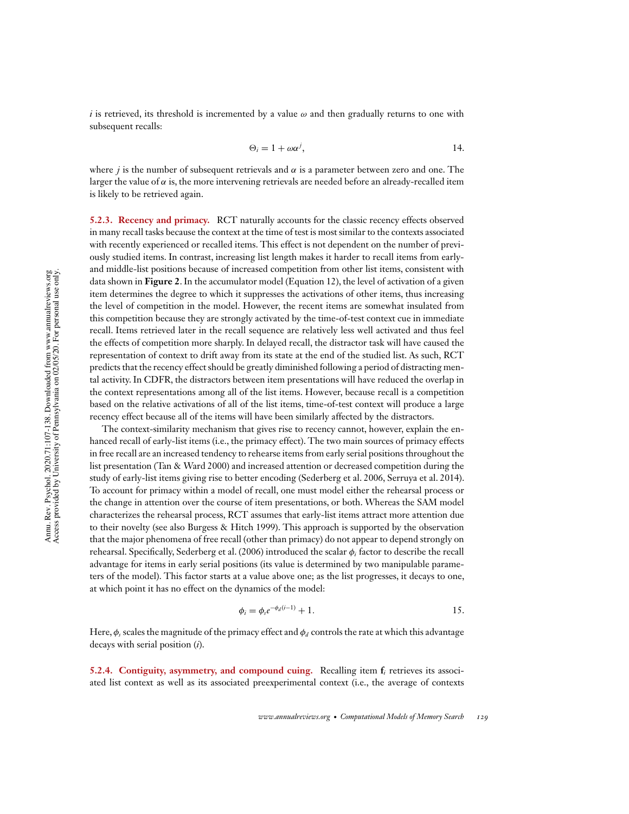*i* is retrieved, its threshold is incremented by a value  $\omega$  and then gradually returns to one with subsequent recalls:

$$
\Theta_i = 1 + \omega \alpha^j, \qquad \qquad 14.
$$

where  $j$  is the number of subsequent retrievals and  $\alpha$  is a parameter between zero and one. The larger the value of  $\alpha$  is, the more intervening retrievals are needed before an already-recalled item is likely to be retrieved again.

**5.2.3. Recency and primacy.** RCT naturally accounts for the classic recency effects observed in many recall tasks because the context at the time of test is most similar to the contexts associated with recently experienced or recalled items. This effect is not dependent on the number of previously studied items. In contrast, increasing list length makes it harder to recall items from earlyand middle-list positions because of increased competition from other list items, consistent with data shown in **Figure 2**. In the accumulator model (Equation 12), the level of activation of a given item determines the degree to which it suppresses the activations of other items, thus increasing the level of competition in the model. However, the recent items are somewhat insulated from this competition because they are strongly activated by the time-of-test context cue in immediate recall. Items retrieved later in the recall sequence are relatively less well activated and thus feel the effects of competition more sharply. In delayed recall, the distractor task will have caused the representation of context to drift away from its state at the end of the studied list. As such, RCT predicts that the recency effect should be greatly diminished following a period of distracting mental activity. In CDFR, the distractors between item presentations will have reduced the overlap in the context representations among all of the list items. However, because recall is a competition based on the relative activations of all of the list items, time-of-test context will produce a large recency effect because all of the items will have been similarly affected by the distractors.

The context-similarity mechanism that gives rise to recency cannot, however, explain the enhanced recall of early-list items (i.e., the primacy effect). The two main sources of primacy effects in free recall are an increased tendency to rehearse items from early serial positions throughout the list presentation (Tan & Ward 2000) and increased attention or decreased competition during the study of early-list items giving rise to better encoding (Sederberg et al. 2006, Serruya et al. 2014). To account for primacy within a model of recall, one must model either the rehearsal process or the change in attention over the course of item presentations, or both. Whereas the SAM model characterizes the rehearsal process, RCT assumes that early-list items attract more attention due to their novelty (see also Burgess & Hitch 1999). This approach is supported by the observation that the major phenomena of free recall (other than primacy) do not appear to depend strongly on rehearsal. Specifically, Sederberg et al. (2006) introduced the scalar  $\phi_i$  factor to describe the recall advantage for items in early serial positions (its value is determined by two manipulable parameters of the model). This factor starts at a value above one; as the list progresses, it decays to one, at which point it has no effect on the dynamics of the model:

$$
\phi_i = \phi_s e^{-\phi_d(i-1)} + 1.
$$
 15.

Here,  $\phi_s$  scales the magnitude of the primacy effect and  $\phi_d$  controls the rate at which this advantage decays with serial position (*i*).

**5.2.4. Contiguity, asymmetry, and compound cuing.** Recalling item **f***<sup>i</sup>* retrieves its associated list context as well as its associated preexperimental context (i.e., the average of contexts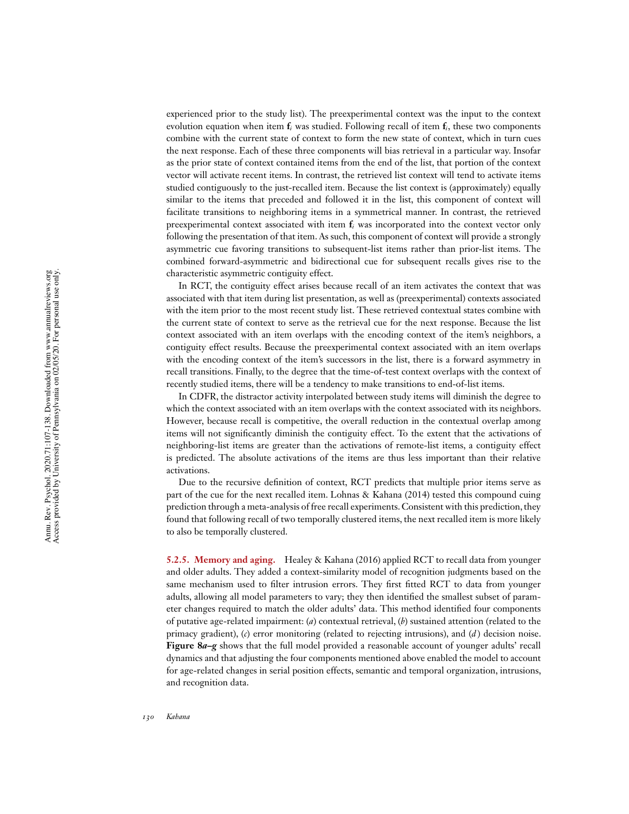experienced prior to the study list). The preexperimental context was the input to the context evolution equation when item  $f_i$  was studied. Following recall of item  $f_i$ , these two components combine with the current state of context to form the new state of context, which in turn cues the next response. Each of these three components will bias retrieval in a particular way. Insofar as the prior state of context contained items from the end of the list, that portion of the context vector will activate recent items. In contrast, the retrieved list context will tend to activate items studied contiguously to the just-recalled item. Because the list context is (approximately) equally similar to the items that preceded and followed it in the list, this component of context will facilitate transitions to neighboring items in a symmetrical manner. In contrast, the retrieved preexperimental context associated with item **f***<sup>i</sup>* was incorporated into the context vector only following the presentation of that item. As such, this component of context will provide a strongly asymmetric cue favoring transitions to subsequent-list items rather than prior-list items. The combined forward-asymmetric and bidirectional cue for subsequent recalls gives rise to the characteristic asymmetric contiguity effect.

In RCT, the contiguity effect arises because recall of an item activates the context that was associated with that item during list presentation, as well as (preexperimental) contexts associated with the item prior to the most recent study list. These retrieved contextual states combine with the current state of context to serve as the retrieval cue for the next response. Because the list context associated with an item overlaps with the encoding context of the item's neighbors, a contiguity effect results. Because the preexperimental context associated with an item overlaps with the encoding context of the item's successors in the list, there is a forward asymmetry in recall transitions. Finally, to the degree that the time-of-test context overlaps with the context of recently studied items, there will be a tendency to make transitions to end-of-list items.

In CDFR, the distractor activity interpolated between study items will diminish the degree to which the context associated with an item overlaps with the context associated with its neighbors. However, because recall is competitive, the overall reduction in the contextual overlap among items will not significantly diminish the contiguity effect. To the extent that the activations of neighboring-list items are greater than the activations of remote-list items, a contiguity effect is predicted. The absolute activations of the items are thus less important than their relative activations.

Due to the recursive definition of context, RCT predicts that multiple prior items serve as part of the cue for the next recalled item. Lohnas & Kahana (2014) tested this compound cuing prediction through a meta-analysis of free recall experiments. Consistent with this prediction, they found that following recall of two temporally clustered items, the next recalled item is more likely to also be temporally clustered.

**5.2.5. Memory and aging.** Healey & Kahana (2016) applied RCT to recall data from younger and older adults. They added a context-similarity model of recognition judgments based on the same mechanism used to filter intrusion errors. They first fitted RCT to data from younger adults, allowing all model parameters to vary; they then identified the smallest subset of parameter changes required to match the older adults' data. This method identified four components of putative age-related impairment: (*a*) contextual retrieval, (*b*) sustained attention (related to the primacy gradient), (*c*) error monitoring (related to rejecting intrusions), and (*d* ) decision noise. **Figure 8***a***–***g* shows that the full model provided a reasonable account of younger adults' recall dynamics and that adjusting the four components mentioned above enabled the model to account for age-related changes in serial position effects, semantic and temporal organization, intrusions, and recognition data.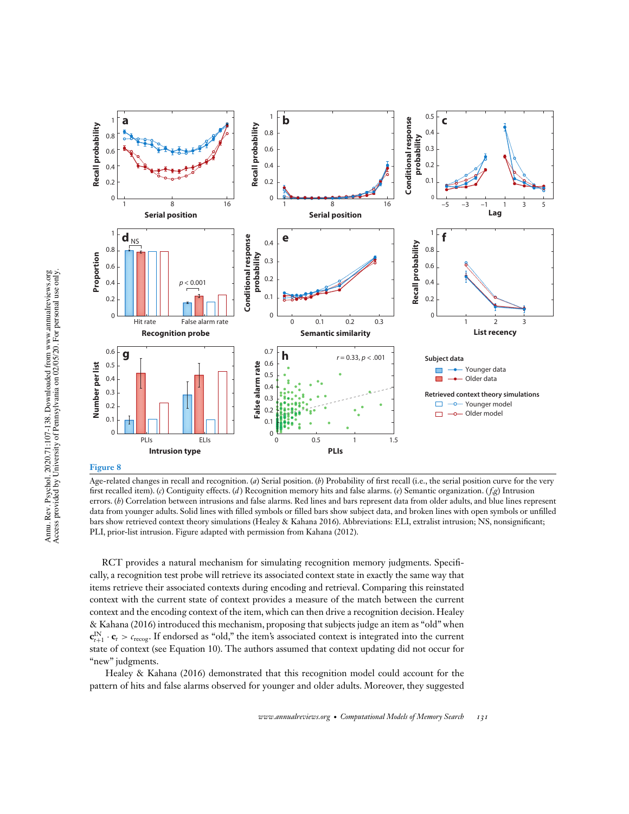

# **Figure 8**

Age-related changes in recall and recognition. (*a*) Serial position. (*b*) Probability of first recall (i.e., the serial position curve for the very !rst recalled item). (*c*) Contiguity effects. (*d* ) Recognition memory hits and false alarms. (*e*) Semantic organization. ( *f*,*g*) Intrusion errors. (*h*) Correlation between intrusions and false alarms. Red lines and bars represent data from older adults, and blue lines represent data from younger adults. Solid lines with filled symbols or filled bars show subject data, and broken lines with open symbols or unfilled bars show retrieved context theory simulations (Healey & Kahana 2016). Abbreviations: ELI, extralist intrusion; NS, nonsignificant; PLI, prior-list intrusion. Figure adapted with permission from Kahana (2012).

RCT provides a natural mechanism for simulating recognition memory judgments. Specifically, a recognition test probe will retrieve its associated context state in exactly the same way that items retrieve their associated contexts during encoding and retrieval. Comparing this reinstated context with the current state of context provides a measure of the match between the current context and the encoding context of the item, which can then drive a recognition decision. Healey & Kahana (2016) introduced this mechanism, proposing that subjects judge an item as "old" when  $\mathbf{c}_{t+1}^{\text{IN}} \cdot \mathbf{c}_t > c_{\text{recog}}$ . If endorsed as "old," the item's associated context is integrated into the current state of context (see Equation 10). The authors assumed that context updating did not occur for "new" judgments.

Healey & Kahana (2016) demonstrated that this recognition model could account for the pattern of hits and false alarms observed for younger and older adults. Moreover, they suggested

 Access provided by University of Pennsylvania on 02/05/20. For personal use only. Amu. Rev. Psychol. 2020.71:107-138. Downloaded from www.annualreviews.org<br>Access provided by University of Pennsylvania on 02/05/20. For personal use only. Annu. Rev. Psychol. 2020.71:107-138. Downloaded from www.annualreviews.org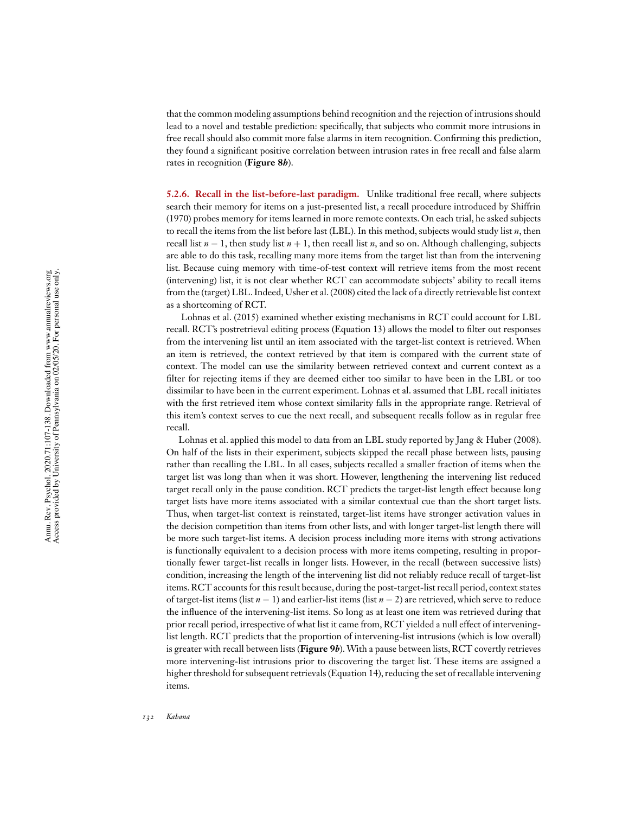that the common modeling assumptions behind recognition and the rejection of intrusions should lead to a novel and testable prediction: specifically, that subjects who commit more intrusions in free recall should also commit more false alarms in item recognition. Confirming this prediction, they found a significant positive correlation between intrusion rates in free recall and false alarm rates in recognition (**Figure 8***h*).

**5.2.6. Recall in the list-before-last paradigm.** Unlike traditional free recall, where subjects search their memory for items on a just-presented list, a recall procedure introduced by Shiffrin (1970) probes memory for items learned in more remote contexts. On each trial, he asked subjects to recall the items from the list before last (LBL). In this method, subjects would study list *n*, then recall list *n* − 1, then study list *n* + 1, then recall list *n*, and so on. Although challenging, subjects are able to do this task, recalling many more items from the target list than from the intervening list. Because cuing memory with time-of-test context will retrieve items from the most recent (intervening) list, it is not clear whether RCT can accommodate subjects' ability to recall items from the (target) LBL. Indeed, Usher et al. (2008) cited the lack of a directly retrievable list context as a shortcoming of RCT.

Lohnas et al. (2015) examined whether existing mechanisms in RCT could account for LBL recall. RCT's postretrieval editing process (Equation 13) allows the model to filter out responses from the intervening list until an item associated with the target-list context is retrieved. When an item is retrieved, the context retrieved by that item is compared with the current state of context. The model can use the similarity between retrieved context and current context as a filter for rejecting items if they are deemed either too similar to have been in the LBL or too dissimilar to have been in the current experiment. Lohnas et al. assumed that LBL recall initiates with the first retrieved item whose context similarity falls in the appropriate range. Retrieval of this item's context serves to cue the next recall, and subsequent recalls follow as in regular free recall.

Lohnas et al. applied this model to data from an LBL study reported by Jang & Huber (2008). On half of the lists in their experiment, subjects skipped the recall phase between lists, pausing rather than recalling the LBL. In all cases, subjects recalled a smaller fraction of items when the target list was long than when it was short. However, lengthening the intervening list reduced target recall only in the pause condition. RCT predicts the target-list length effect because long target lists have more items associated with a similar contextual cue than the short target lists. Thus, when target-list context is reinstated, target-list items have stronger activation values in the decision competition than items from other lists, and with longer target-list length there will be more such target-list items. A decision process including more items with strong activations is functionally equivalent to a decision process with more items competing, resulting in proportionally fewer target-list recalls in longer lists. However, in the recall (between successive lists) condition, increasing the length of the intervening list did not reliably reduce recall of target-list items. RCT accounts for this result because, during the post-target-list recall period, context states of target-list items (list *n* − 1) and earlier-list items (list *n* − 2) are retrieved, which serve to reduce the influence of the intervening-list items. So long as at least one item was retrieved during that prior recall period, irrespective of what list it came from, RCT yielded a null effect of interveninglist length. RCT predicts that the proportion of intervening-list intrusions (which is low overall) is greater with recall between lists (**Figure 9***b*).With a pause between lists, RCT covertly retrieves more intervening-list intrusions prior to discovering the target list. These items are assigned a higher threshold for subsequent retrievals (Equation 14), reducing the set of recallable intervening items.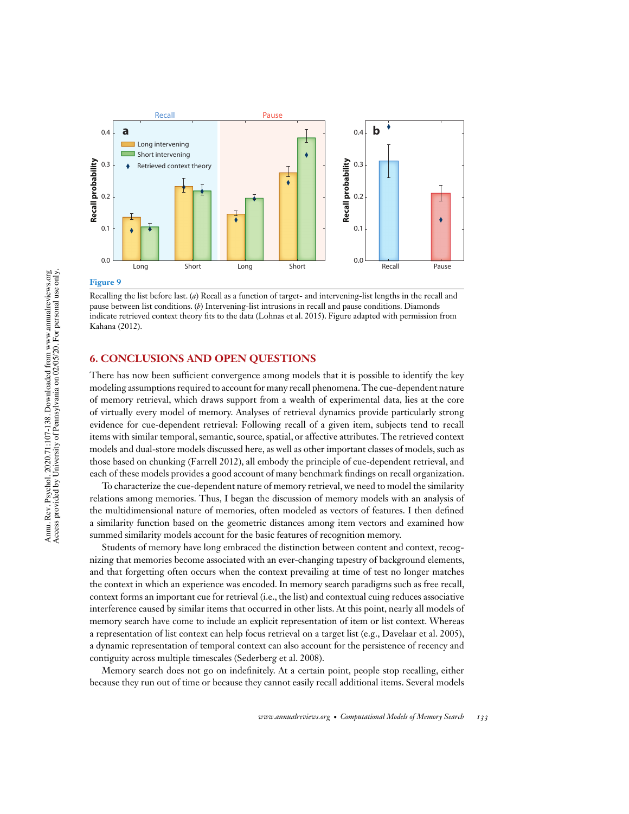

### **Figure 9**

Recalling the list before last. (*a*) Recall as a function of target- and intervening-list lengths in the recall and pause between list conditions. (*b*) Intervening-list intrusions in recall and pause conditions. Diamonds indicate retrieved context theory fits to the data (Lohnas et al. 2015). Figure adapted with permission from Kahana (2012).

# **6. CONCLUSIONS AND OPEN QUESTIONS**

There has now been sufficient convergence among models that it is possible to identify the key modeling assumptions required to account for many recall phenomena. The cue-dependent nature of memory retrieval, which draws support from a wealth of experimental data, lies at the core of virtually every model of memory. Analyses of retrieval dynamics provide particularly strong evidence for cue-dependent retrieval: Following recall of a given item, subjects tend to recall items with similar temporal, semantic, source, spatial, or affective attributes. The retrieved context models and dual-store models discussed here, as well as other important classes of models, such as those based on chunking (Farrell 2012), all embody the principle of cue-dependent retrieval, and each of these models provides a good account of many benchmark findings on recall organization.

To characterize the cue-dependent nature of memory retrieval, we need to model the similarity relations among memories. Thus, I began the discussion of memory models with an analysis of the multidimensional nature of memories, often modeled as vectors of features. I then defined a similarity function based on the geometric distances among item vectors and examined how summed similarity models account for the basic features of recognition memory.

Students of memory have long embraced the distinction between content and context, recognizing that memories become associated with an ever-changing tapestry of background elements, and that forgetting often occurs when the context prevailing at time of test no longer matches the context in which an experience was encoded. In memory search paradigms such as free recall, context forms an important cue for retrieval (i.e., the list) and contextual cuing reduces associative interference caused by similar items that occurred in other lists. At this point, nearly all models of memory search have come to include an explicit representation of item or list context. Whereas a representation of list context can help focus retrieval on a target list (e.g., Davelaar et al. 2005), a dynamic representation of temporal context can also account for the persistence of recency and contiguity across multiple timescales (Sederberg et al. 2008).

Memory search does not go on indefinitely. At a certain point, people stop recalling, either because they run out of time or because they cannot easily recall additional items. Several models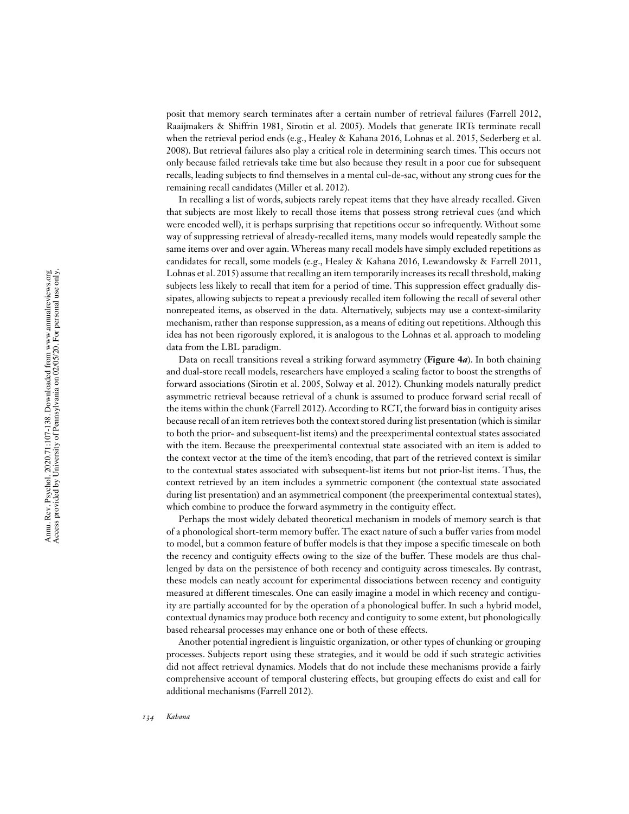posit that memory search terminates after a certain number of retrieval failures (Farrell 2012, Raaijmakers & Shiffrin 1981, Sirotin et al. 2005). Models that generate IRTs terminate recall when the retrieval period ends (e.g., Healey & Kahana 2016, Lohnas et al. 2015, Sederberg et al. 2008). But retrieval failures also play a critical role in determining search times. This occurs not only because failed retrievals take time but also because they result in a poor cue for subsequent recalls, leading subjects to find themselves in a mental cul-de-sac, without any strong cues for the remaining recall candidates (Miller et al. 2012).

In recalling a list of words, subjects rarely repeat items that they have already recalled. Given that subjects are most likely to recall those items that possess strong retrieval cues (and which were encoded well), it is perhaps surprising that repetitions occur so infrequently. Without some way of suppressing retrieval of already-recalled items, many models would repeatedly sample the same items over and over again. Whereas many recall models have simply excluded repetitions as candidates for recall, some models (e.g., Healey & Kahana 2016, Lewandowsky & Farrell 2011, Lohnas et al. 2015) assume that recalling an item temporarily increases its recall threshold, making subjects less likely to recall that item for a period of time. This suppression effect gradually dissipates, allowing subjects to repeat a previously recalled item following the recall of several other nonrepeated items, as observed in the data. Alternatively, subjects may use a context-similarity mechanism, rather than response suppression, as a means of editing out repetitions. Although this idea has not been rigorously explored, it is analogous to the Lohnas et al. approach to modeling data from the LBL paradigm.

Data on recall transitions reveal a striking forward asymmetry (**Figure 4***a*). In both chaining and dual-store recall models, researchers have employed a scaling factor to boost the strengths of forward associations (Sirotin et al. 2005, Solway et al. 2012). Chunking models naturally predict asymmetric retrieval because retrieval of a chunk is assumed to produce forward serial recall of the items within the chunk (Farrell 2012). According to RCT, the forward bias in contiguity arises because recall of an item retrieves both the context stored during list presentation (which is similar to both the prior- and subsequent-list items) and the preexperimental contextual states associated with the item. Because the preexperimental contextual state associated with an item is added to the context vector at the time of the item's encoding, that part of the retrieved context is similar to the contextual states associated with subsequent-list items but not prior-list items. Thus, the context retrieved by an item includes a symmetric component (the contextual state associated during list presentation) and an asymmetrical component (the preexperimental contextual states), which combine to produce the forward asymmetry in the contiguity effect.

Perhaps the most widely debated theoretical mechanism in models of memory search is that of a phonological short-term memory buffer. The exact nature of such a buffer varies from model to model, but a common feature of buffer models is that they impose a specific timescale on both the recency and contiguity effects owing to the size of the buffer. These models are thus challenged by data on the persistence of both recency and contiguity across timescales. By contrast, these models can neatly account for experimental dissociations between recency and contiguity measured at different timescales. One can easily imagine a model in which recency and contiguity are partially accounted for by the operation of a phonological buffer. In such a hybrid model, contextual dynamics may produce both recency and contiguity to some extent, but phonologically based rehearsal processes may enhance one or both of these effects.

Another potential ingredient is linguistic organization, or other types of chunking or grouping processes. Subjects report using these strategies, and it would be odd if such strategic activities did not affect retrieval dynamics. Models that do not include these mechanisms provide a fairly comprehensive account of temporal clustering effects, but grouping effects do exist and call for additional mechanisms (Farrell 2012).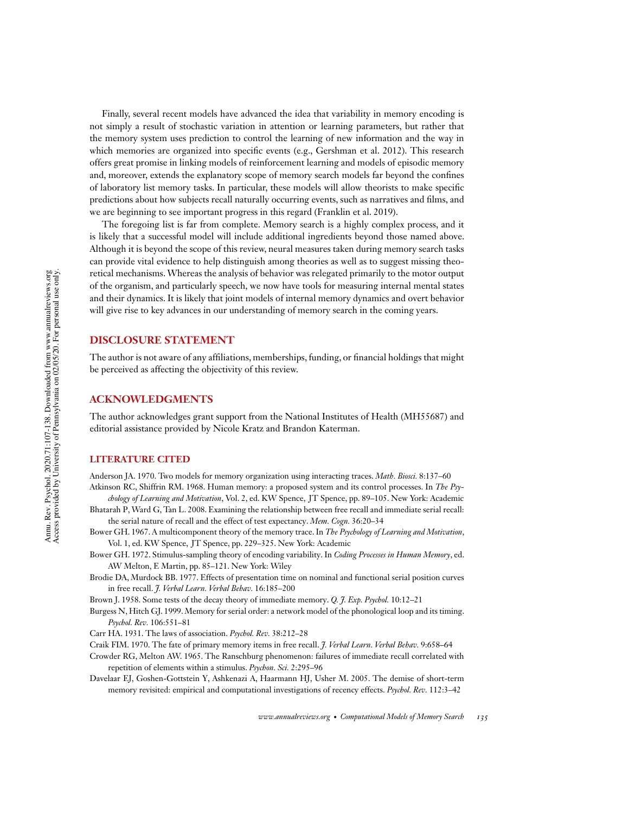Finally, several recent models have advanced the idea that variability in memory encoding is not simply a result of stochastic variation in attention or learning parameters, but rather that the memory system uses prediction to control the learning of new information and the way in which memories are organized into specific events (e.g., Gershman et al. 2012). This research offers great promise in linking models of reinforcement learning and models of episodic memory and, moreover, extends the explanatory scope of memory search models far beyond the confines of laboratory list memory tasks. In particular, these models will allow theorists to make specific predictions about how subjects recall naturally occurring events, such as narratives and films, and we are beginning to see important progress in this regard (Franklin et al. 2019).

The foregoing list is far from complete. Memory search is a highly complex process, and it is likely that a successful model will include additional ingredients beyond those named above. Although it is beyond the scope of this review, neural measures taken during memory search tasks can provide vital evidence to help distinguish among theories as well as to suggest missing theoretical mechanisms.Whereas the analysis of behavior was relegated primarily to the motor output of the organism, and particularly speech, we now have tools for measuring internal mental states and their dynamics. It is likely that joint models of internal memory dynamics and overt behavior will give rise to key advances in our understanding of memory search in the coming years.

# **DISCLOSURE STATEMENT**

The author is not aware of any affiliations, memberships, funding, or financial holdings that might be perceived as affecting the objectivity of this review.

# **ACKNOWLEDGMENTS**

The author acknowledges grant support from the National Institutes of Health (MH55687) and editorial assistance provided by Nicole Kratz and Brandon Katerman.

### **LITERATURE CITED**

Anderson JA. 1970. Two models for memory organization using interacting traces. *Math. Biosci.* 8:137–60 Atkinson RC, Shiffrin RM. 1968. Human memory: a proposed system and its control processes. In *The Psy-*

- *chology of Learning and Motivation*, Vol. 2, ed. KW Spence, JT Spence, pp. 89–105. New York: Academic Bhatarah P, Ward G, Tan L. 2008. Examining the relationship between free recall and immediate serial recall: the serial nature of recall and the effect of test expectancy. *Mem. Cogn.* 36:20–34
- Bower GH. 1967. A multicomponent theory of the memory trace. In *The Psychology of Learning and Motivation*, Vol. 1, ed. KW Spence, JT Spence, pp. 229–325. New York: Academic
- Bower GH. 1972. Stimulus-sampling theory of encoding variability. In *Coding Processes in Human Memory*, ed. AW Melton, E Martin, pp. 85–121. New York: Wiley
- Brodie DA, Murdock BB. 1977. Effects of presentation time on nominal and functional serial position curves in free recall. *J. Verbal Learn. Verbal Behav.* 16:185–200

Brown J. 1958. Some tests of the decay theory of immediate memory. *Q. J. Exp. Psychol.* 10:12–21

Burgess N, Hitch GJ. 1999. Memory for serial order: a network model of the phonological loop and its timing. *Psychol. Rev.* 106:551–81

Carr HA. 1931. The laws of association. *Psychol. Rev.* 38:212–28

Craik FIM. 1970. The fate of primary memory items in free recall. *J. Verbal Learn. Verbal Behav.* 9:658–64

- Crowder RG, Melton AW. 1965. The Ranschburg phenomenon: failures of immediate recall correlated with repetition of elements within a stimulus. *Psychon. Sci.* 2:295–96
- Davelaar EJ, Goshen-Gottstein Y, Ashkenazi A, Haarmann HJ, Usher M. 2005. The demise of short-term memory revisited: empirical and computational investigations of recency effects. *Psychol. Rev.* 112:3–42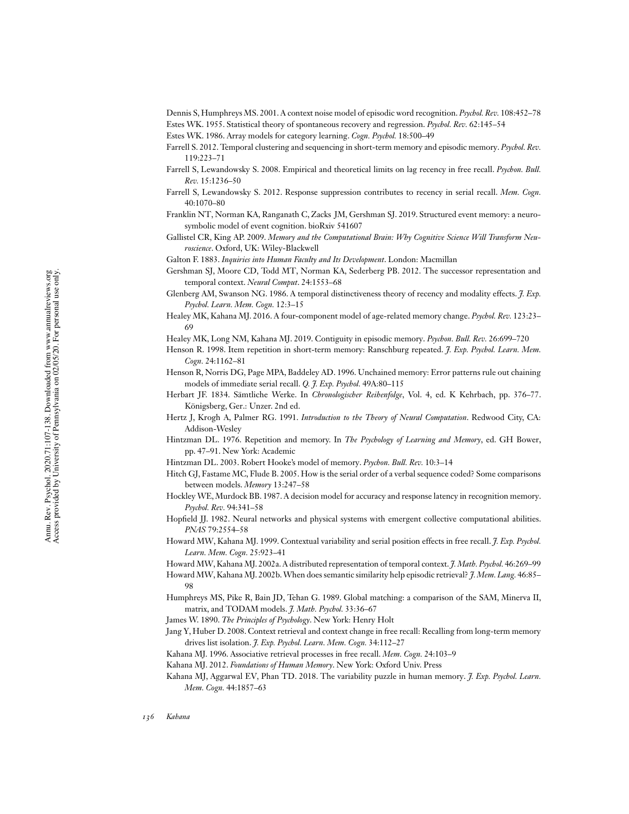- Dennis S, Humphreys MS. 2001. A context noise model of episodic word recognition. *Psychol. Rev.* 108:452–78 Estes WK. 1955. Statistical theory of spontaneous recovery and regression. *Psychol. Rev.* 62:145–54
- Estes WK. 1986. Array models for category learning. *Cogn. Psychol.* 18:500–49
- Farrell S. 2012. Temporal clustering and sequencing in short-term memory and episodic memory. *Psychol. Rev.* 119:223–71
- Farrell S, Lewandowsky S. 2008. Empirical and theoretical limits on lag recency in free recall. *Psychon. Bull. Rev.* 15:1236–50
- Farrell S, Lewandowsky S. 2012. Response suppression contributes to recency in serial recall. *Mem. Cogn.* 40:1070–80
- Franklin NT, Norman KA, Ranganath C, Zacks JM, Gershman SJ. 2019. Structured event memory: a neurosymbolic model of event cognition. bioRxiv 541607
- Gallistel CR, King AP. 2009. *Memory and the Computational Brain: Why Cognitive Science Will Transform Neuroscience*. Oxford, UK: Wiley-Blackwell
- Galton F. 1883. *Inquiries into Human Faculty and Its Development*. London: Macmillan
- Gershman SJ, Moore CD, Todd MT, Norman KA, Sederberg PB. 2012. The successor representation and temporal context. *Neural Comput*. 24:1553–68
- Glenberg AM, Swanson NG. 1986. A temporal distinctiveness theory of recency and modality effects. *J. Exp. Psychol. Learn. Mem. Cogn.* 12:3–15
- Healey MK, Kahana MJ. 2016. A four-component model of age-related memory change. *Psychol. Rev.* 123:23– 69
- Healey MK, Long NM, Kahana MJ. 2019. Contiguity in episodic memory. *Psychon. Bull. Rev.* 26:699–720
- Henson R. 1998. Item repetition in short-term memory: Ranschburg repeated. *J. Exp. Psychol. Learn. Mem. Cogn.* 24:1162–81
- Henson R, Norris DG, Page MPA, Baddeley AD. 1996. Unchained memory: Error patterns rule out chaining models of immediate serial recall. *Q. J. Exp. Psychol.* 49A:80–115
- Herbart JF. 1834. Sämtliche Werke. In *Chronologischer Reihenfolge*, Vol. 4, ed. K Kehrbach, pp. 376–77. Königsberg, Ger.: Unzer. 2nd ed.
- Hertz J, Krogh A, Palmer RG. 1991. *Introduction to the Theory of Neural Computation*. Redwood City, CA: Addison-Wesley
- Hintzman DL. 1976. Repetition and memory. In *The Psychology of Learning and Memory*, ed. GH Bower, pp. 47–91. New York: Academic
- Hintzman DL. 2003. Robert Hooke's model of memory. *Psychon. Bull. Rev.* 10:3–14
- Hitch GJ, Fastame MC, Flude B. 2005. How is the serial order of a verbal sequence coded? Some comparisons between models. *Memory* 13:247–58
- Hockley WE, Murdock BB. 1987. A decision model for accuracy and response latency in recognition memory. *Psychol. Rev.* 94:341–58
- Hopfield JJ. 1982. Neural networks and physical systems with emergent collective computational abilities. *PNAS* 79:2554–58
- Howard MW, Kahana MJ. 1999. Contextual variability and serial position effects in free recall. *J. Exp. Psychol. Learn. Mem. Cogn.* 25:923–41
- Howard MW, Kahana MJ. 2002a. A distributed representation of temporal context. *J.Math. Psychol.* 46:269–99
- Howard MW, Kahana MJ. 2002b.When does semantic similarity help episodic retrieval? *J.Mem. Lang.* 46:85– 98
- Humphreys MS, Pike R, Bain JD, Tehan G. 1989. Global matching: a comparison of the SAM, Minerva II, matrix, and TODAM models. *J. Math. Psychol.* 33:36–67
- James W. 1890. *The Principles of Psychology*. New York: Henry Holt
- Jang Y, Huber D. 2008. Context retrieval and context change in free recall: Recalling from long-term memory drives list isolation. *J. Exp. Psychol. Learn. Mem. Cogn.* 34:112–27
- Kahana MJ. 1996. Associative retrieval processes in free recall. *Mem. Cogn.* 24:103–9
- Kahana MJ. 2012. *Foundations of Human Memory*. New York: Oxford Univ. Press
- Kahana MJ, Aggarwal EV, Phan TD. 2018. The variability puzzle in human memory. *J. Exp. Psychol. Learn. Mem. Cogn.* 44:1857–63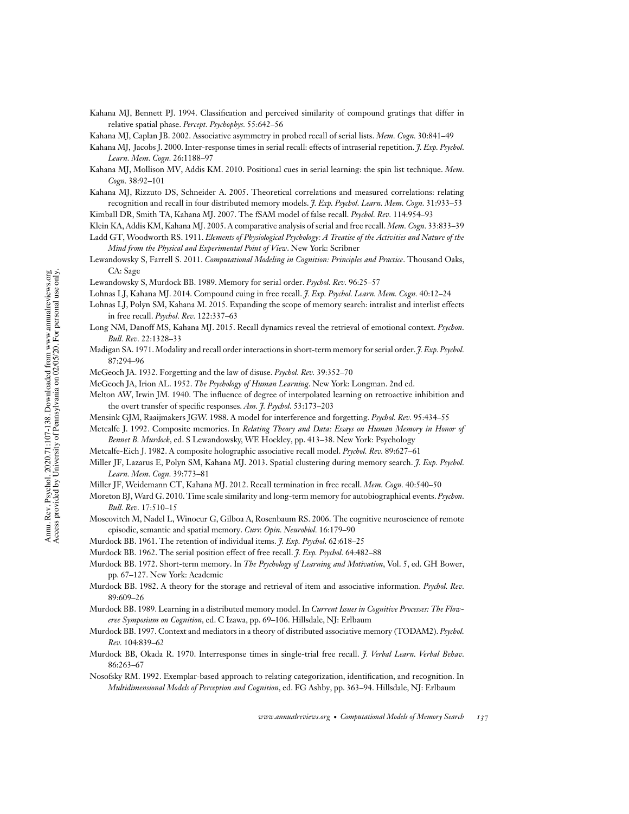Kahana MJ, Bennett PJ. 1994. Classification and perceived similarity of compound gratings that differ in relative spatial phase. *Percept. Psychophys.* 55:642–56

Kahana MJ, Caplan JB. 2002. Associative asymmetry in probed recall of serial lists. *Mem. Cogn.* 30:841–49

- Kahana MJ, Jacobs J. 2000. Inter-response times in serial recall: effects of intraserial repetition. *J. Exp. Psychol. Learn. Mem. Cogn.* 26:1188–97
- Kahana MJ, Mollison MV, Addis KM. 2010. Positional cues in serial learning: the spin list technique. *Mem. Cogn.* 38:92–101
- Kahana MJ, Rizzuto DS, Schneider A. 2005. Theoretical correlations and measured correlations: relating recognition and recall in four distributed memory models. *J. Exp. Psychol. Learn. Mem. Cogn.* 31:933–53 Kimball DR, Smith TA, Kahana MJ. 2007. The fSAM model of false recall. *Psychol. Rev.* 114:954–93
- Klein KA, Addis KM, Kahana MJ. 2005. A comparative analysis of serial and free recall. *Mem. Cogn.* 33:833–39
- Ladd GT, Woodworth RS. 1911. *Elements of Physiological Psychology: A Treatise of the Activities and Nature of the Mind from the Physical and Experimental Point of View*. New York: Scribner
- Lewandowsky S, Farrell S. 2011. *Computational Modeling in Cognition: Principles and Practice*. Thousand Oaks, CA: Sage
- Lewandowsky S, Murdock BB. 1989. Memory for serial order. *Psychol. Rev.* 96:25–57
- Lohnas LJ, Kahana MJ. 2014. Compound cuing in free recall. *J. Exp. Psychol. Learn. Mem. Cogn.* 40:12–24
- Lohnas LJ, Polyn SM, Kahana M. 2015. Expanding the scope of memory search: intralist and interlist effects in free recall. *Psychol. Rev.* 122:337–63
- Long NM, Danoff MS, Kahana MJ. 2015. Recall dynamics reveal the retrieval of emotional context. *Psychon. Bull. Rev.* 22:1328–33
- Madigan SA. 1971.Modality and recall order interactions in short-term memory for serial order. *J. Exp. Psychol.* 87:294–96
- McGeoch JA. 1932. Forgetting and the law of disuse. *Psychol. Rev.* 39:352–70
- McGeoch JA, Irion AL. 1952. *The Psychology of Human Learning*. New York: Longman. 2nd ed.
- Melton AW, Irwin JM. 1940. The influence of degree of interpolated learning on retroactive inhibition and the overt transfer of specific responses. Am. J. Psychol. 53:173-203
- Mensink GJM, Raaijmakers JGW. 1988. A model for interference and forgetting. *Psychol. Rev.* 95:434–55

Metcalfe J. 1992. Composite memories. In *Relating Theory and Data: Essays on Human Memory in Honor of Bennet B. Murdock*, ed. S Lewandowsky, WE Hockley, pp. 413–38. New York: Psychology

- Metcalfe-Eich J. 1982. A composite holographic associative recall model. *Psychol. Rev.* 89:627–61
- Miller JF, Lazarus E, Polyn SM, Kahana MJ. 2013. Spatial clustering during memory search. *J. Exp. Psychol. Learn. Mem. Cogn.* 39:773–81
- Miller JF, Weidemann CT, Kahana MJ. 2012. Recall termination in free recall. *Mem. Cogn.* 40:540–50
- Moreton BJ,Ward G. 2010. Time scale similarity and long-term memory for autobiographical events. *Psychon. Bull. Rev.* 17:510–15
- Moscovitch M, Nadel L, Winocur G, Gilboa A, Rosenbaum RS. 2006. The cognitive neuroscience of remote episodic, semantic and spatial memory. *Curr. Opin. Neurobiol.* 16:179–90
- Murdock BB. 1961. The retention of individual items. *J. Exp. Psychol.* 62:618–25
- Murdock BB. 1962. The serial position effect of free recall. *J. Exp. Psychol.* 64:482–88
- Murdock BB. 1972. Short-term memory. In *The Psychology of Learning and Motivation*, Vol. 5, ed. GH Bower, pp. 67–127. New York: Academic
- Murdock BB. 1982. A theory for the storage and retrieval of item and associative information. *Psychol. Rev.* 89:609–26
- Murdock BB. 1989. Learning in a distributed memory model. In *Current Issues in Cognitive Processes: The Floweree Symposium on Cognition*, ed. C Izawa, pp. 69–106. Hillsdale, NJ: Erlbaum
- Murdock BB. 1997. Context and mediators in a theory of distributed associative memory (TODAM2). *Psychol. Rev.* 104:839–62
- Murdock BB, Okada R. 1970. Interresponse times in single-trial free recall. *J. Verbal Learn. Verbal Behav.* 86:263–67
- Nosofsky RM. 1992. Exemplar-based approach to relating categorization, identification, and recognition. In *Multidimensional Models of Perception and Cognition*, ed. FG Ashby, pp. 363–94. Hillsdale, NJ: Erlbaum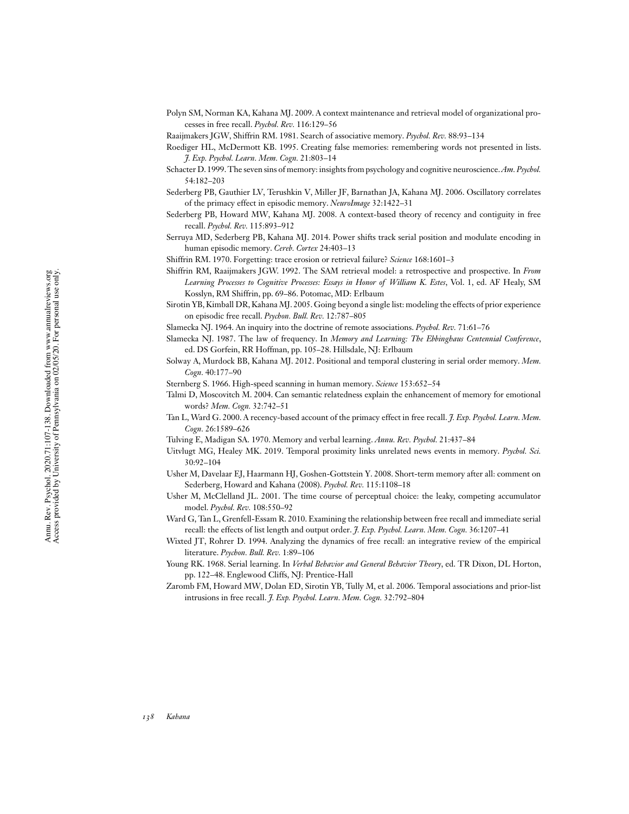- Polyn SM, Norman KA, Kahana MJ. 2009. A context maintenance and retrieval model of organizational processes in free recall. *Psychol. Rev.* 116:129–56
- Raaijmakers JGW, Shiffrin RM. 1981. Search of associative memory. *Psychol. Rev.* 88:93–134
- Roediger HL, McDermott KB. 1995. Creating false memories: remembering words not presented in lists. *J. Exp. Psychol. Learn. Mem. Cogn.* 21:803–14
- Schacter D. 1999. The seven sins of memory: insights from psychology and cognitive neuroscience.*Am. Psychol.* 54:182–203
- Sederberg PB, Gauthier LV, Terushkin V, Miller JF, Barnathan JA, Kahana MJ. 2006. Oscillatory correlates of the primacy effect in episodic memory. *NeuroImage* 32:1422–31
- Sederberg PB, Howard MW, Kahana MJ. 2008. A context-based theory of recency and contiguity in free recall. *Psychol. Rev.* 115:893–912
- Serruya MD, Sederberg PB, Kahana MJ. 2014. Power shifts track serial position and modulate encoding in human episodic memory. *Cereb. Cortex* 24:403–13

Shiffrin RM. 1970. Forgetting: trace erosion or retrieval failure? *Science* 168:1601–3

- Shiffrin RM, Raaijmakers JGW. 1992. The SAM retrieval model: a retrospective and prospective. In *From Learning Processes to Cognitive Processes: Essays in Honor of William K. Estes*, Vol. 1, ed. AF Healy, SM Kosslyn, RM Shiffrin, pp. 69–86. Potomac, MD: Erlbaum
- Sirotin YB, Kimball DR, Kahana MJ. 2005. Going beyond a single list: modeling the effects of prior experience on episodic free recall. *Psychon. Bull. Rev.* 12:787–805
- Slamecka NJ. 1964. An inquiry into the doctrine of remote associations. *Psychol. Rev.* 71:61–76
- Slamecka NJ. 1987. The law of frequency. In *Memory and Learning: The Ebbinghaus Centennial Conference*, ed. DS Gorfein, RR Hoffman, pp. 105–28. Hillsdale, NJ: Erlbaum
- Solway A, Murdock BB, Kahana MJ. 2012. Positional and temporal clustering in serial order memory. *Mem. Cogn.* 40:177–90
- Sternberg S. 1966. High-speed scanning in human memory. *Science* 153:652–54
- Talmi D, Moscovitch M. 2004. Can semantic relatedness explain the enhancement of memory for emotional words? *Mem. Cogn.* 32:742–51
- Tan L, Ward G. 2000. A recency-based account of the primacy effect in free recall. *J. Exp. Psychol. Learn. Mem. Cogn.* 26:1589–626
- Tulving E, Madigan SA. 1970. Memory and verbal learning. *Annu. Rev. Psychol.* 21:437–84
- Uitvlugt MG, Healey MK. 2019. Temporal proximity links unrelated news events in memory. *Psychol. Sci.* 30:92–104
- Usher M, Davelaar EJ, Haarmann HJ, Goshen-Gottstein Y. 2008. Short-term memory after all: comment on Sederberg, Howard and Kahana (2008). *Psychol. Rev.* 115:1108–18
- Usher M, McClelland JL. 2001. The time course of perceptual choice: the leaky, competing accumulator model. *Psychol. Rev.* 108:550–92
- Ward G, Tan L, Grenfell-Essam R. 2010. Examining the relationship between free recall and immediate serial recall: the effects of list length and output order. *J. Exp. Psychol. Learn. Mem. Cogn.* 36:1207–41
- Wixted JT, Rohrer D. 1994. Analyzing the dynamics of free recall: an integrative review of the empirical literature. *Psychon. Bull. Rev.* 1:89–106
- Young RK. 1968. Serial learning. In *Verbal Behavior and General Behavior Theory*, ed. TR Dixon, DL Horton, pp. 122–48. Englewood Cliffs, NJ: Prentice-Hall
- Zaromb FM, Howard MW, Dolan ED, Sirotin YB, Tully M, et al. 2006. Temporal associations and prior-list intrusions in free recall. *J. Exp. Psychol. Learn. Mem. Cogn.* 32:792–804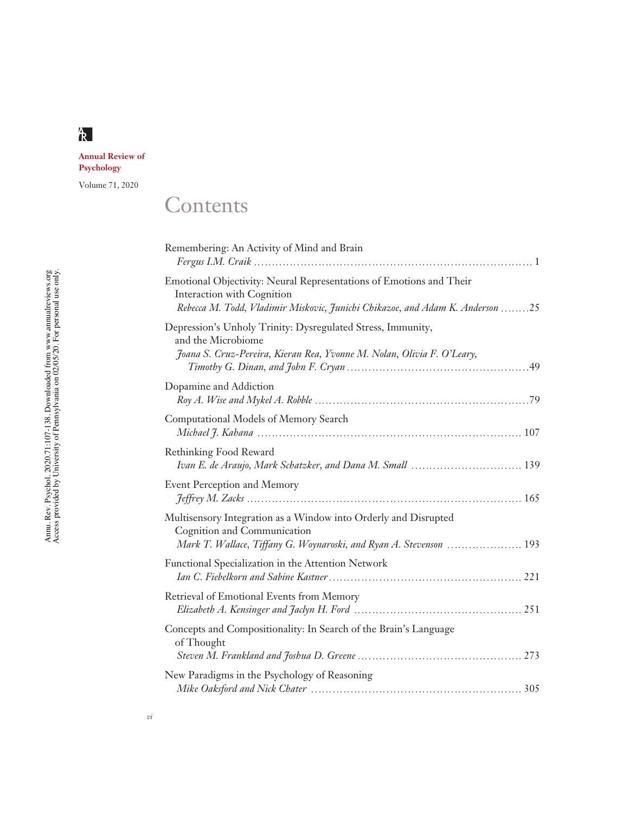# $R$

**Annual Review of Psychology** Volume 71, 2020

**Contents** 

| Remembering: An Activity of Mind and Brain                                                                                                                                         |
|------------------------------------------------------------------------------------------------------------------------------------------------------------------------------------|
| Emotional Objectivity: Neural Representations of Emotions and Their<br>Interaction with Cognition<br>Rebecca M. Todd, Vladimir Miskovic, Junichi Chikazoe, and Adam K. Anderson 25 |
| Depression's Unholy Trinity: Dysregulated Stress, Immunity,<br>and the Microbiome<br>Joana S. Cruz-Pereira, Kieran Rea, Yvonne M. Nolan, Olivia F. O'Leary,                        |
| Dopamine and Addiction                                                                                                                                                             |
| Computational Models of Memory Search                                                                                                                                              |
| Rethinking Food Reward<br>Ivan E. de Araujo, Mark Schatzker, and Dana M. Small  139                                                                                                |
| Event Perception and Memory                                                                                                                                                        |
| Multisensory Integration as a Window into Orderly and Disrupted<br>Cognition and Communication<br>Mark T. Wallace, Tiffany G. Woynaroski, and Ryan A. Stevenson  193               |
| Functional Specialization in the Attention Network                                                                                                                                 |
| Retrieval of Emotional Events from Memory                                                                                                                                          |
| Concepts and Compositionality: In Search of the Brain's Language<br>of Thought                                                                                                     |
| New Paradigms in the Psychology of Reasoning                                                                                                                                       |